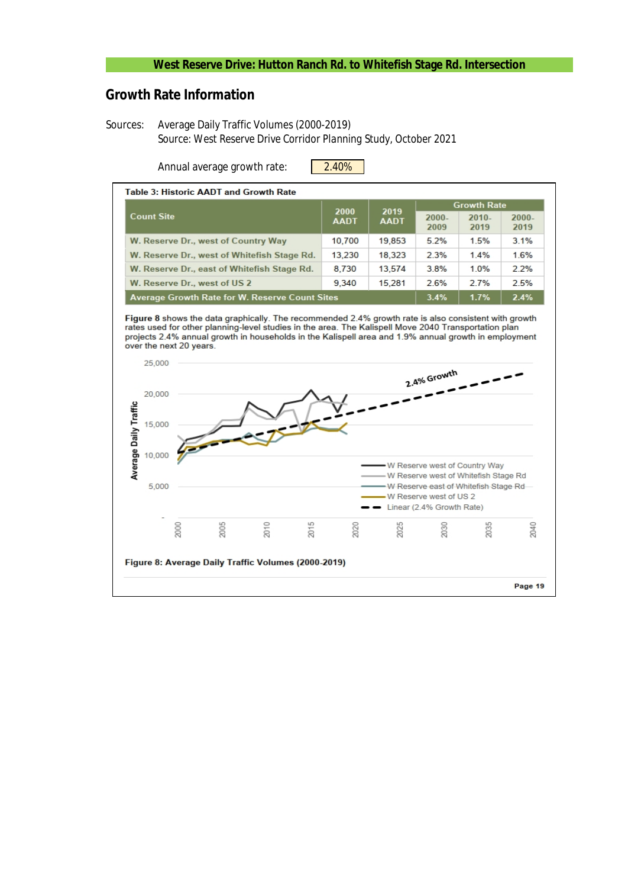## **West Reserve Drive: Hutton Ranch Rd. to Whitefish Stage Rd. Intersection**

## **Growth Rate Information**

Annual average growth rate: 2.40%

| <b>Table 3: Historic AADT and Growth Rate</b>         |             |             |                  |                  |                  |  |  |  |  |  |  |  |  |  |
|-------------------------------------------------------|-------------|-------------|------------------|------------------|------------------|--|--|--|--|--|--|--|--|--|
| <b>Growth Rate</b><br>2000<br>2019                    |             |             |                  |                  |                  |  |  |  |  |  |  |  |  |  |
| <b>Count Site</b>                                     | <b>AADT</b> | <b>AADT</b> | $2000 -$<br>2009 | $2010 -$<br>2019 | $2000 -$<br>2019 |  |  |  |  |  |  |  |  |  |
| W. Reserve Dr., west of Country Way                   | 10,700      | 19,853      | 5.2%             | 1.5%             | 3.1%             |  |  |  |  |  |  |  |  |  |
| W. Reserve Dr., west of Whitefish Stage Rd.           | 13.230      | 18.323      | 2.3%             | 1.4%             | 1.6%             |  |  |  |  |  |  |  |  |  |
| W. Reserve Dr., east of Whitefish Stage Rd.           | 8,730       | 13,574      | 3.8%             | 1.0%             | 2.2%             |  |  |  |  |  |  |  |  |  |
| W. Reserve Dr., west of US 2                          | 9,340       | 15,281      | 2.6%             | 2.7%             | 2.5%             |  |  |  |  |  |  |  |  |  |
| <b>Average Growth Rate for W. Reserve Count Sites</b> |             |             | 3.4%             | 1.7%             | 2.4%             |  |  |  |  |  |  |  |  |  |

Figure 8 shows the data graphically. The recommended 2.4% growth rate is also consistent with growth rates used for other planning-level studies in the area. The Kalispell Move 2040 Transportation plan projects 2.4% annual over the next 20 years.



Sources: Average Daily Traffic Volumes (2000-2019) *Source: West Reserve Drive Corridor Planning Study, October 2021*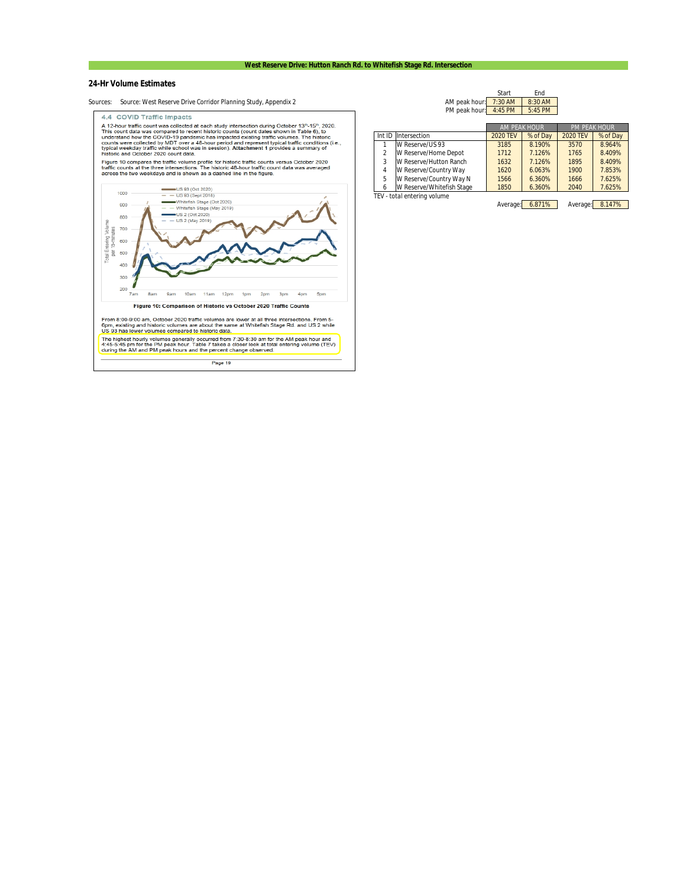#### **West Reserve Drive: Hutton Ranch Rd. to Whitefish Stage Rd. Intersection**

#### **24-Hr Volume Estimates**

Sources: Source: West Reserve Drive Corridor Planning Study, Appendix 2

#### 4.4 COVID Traffic Impacts

4.4 COVIID Traffic count was collected at each study intersection during October 13<sup>n</sup>-15<sup>n</sup>, 2020.<br>This count data was compared to recent historic counts (count dates shown in Table 6), to<br>understand how the COVID-19 pand

matoric and October 2020 Count data.<br>Figure 10 compares the traffic volume profile for historic traffic counts versus October 2020<br>traffic counts at the three intersections. The historic 48-hour traffic count data was aver



|                               | Start | Fnd |
|-------------------------------|-------|-----|
| AM peak hour: 7:30 AM 8:30 AM |       |     |
| PM peak hour: 4:45 PM 5:45 PM |       |     |

|        |                             | <b>AM PFAK HOUR</b> |          | <b>PM PFAK HOUR</b> |          |
|--------|-----------------------------|---------------------|----------|---------------------|----------|
| Int ID | Intersection                | <b>2020 TEV</b>     | % of Day | <b>2020 TEV</b>     | % of Day |
|        | W Reserve/US 93             | 3185                | 8.190%   | 3570                | 8.964%   |
|        | W Reserve/Home Depot        | 1712                | 7.126%   | 1765                | 8.409%   |
| 3      | W Reserve/Hutton Ranch      | 1632                | 7.126%   | 1895                | 8.409%   |
| 4      | W Reserve/Country Way       | 1620                | 6.063%   | 1900                | 7.853%   |
| 5      | W Reserve/Country Way N     | 1566                | 6.360%   | 1666                | 7.625%   |
| 6      | W Reserve/Whitefish Stage   | 1850                | 6.360%   | 2040                | 7.625%   |
|        | TEV - total entering volume |                     |          |                     |          |
|        |                             | Average:            | 6.871%   | Average:            | 8.147%   |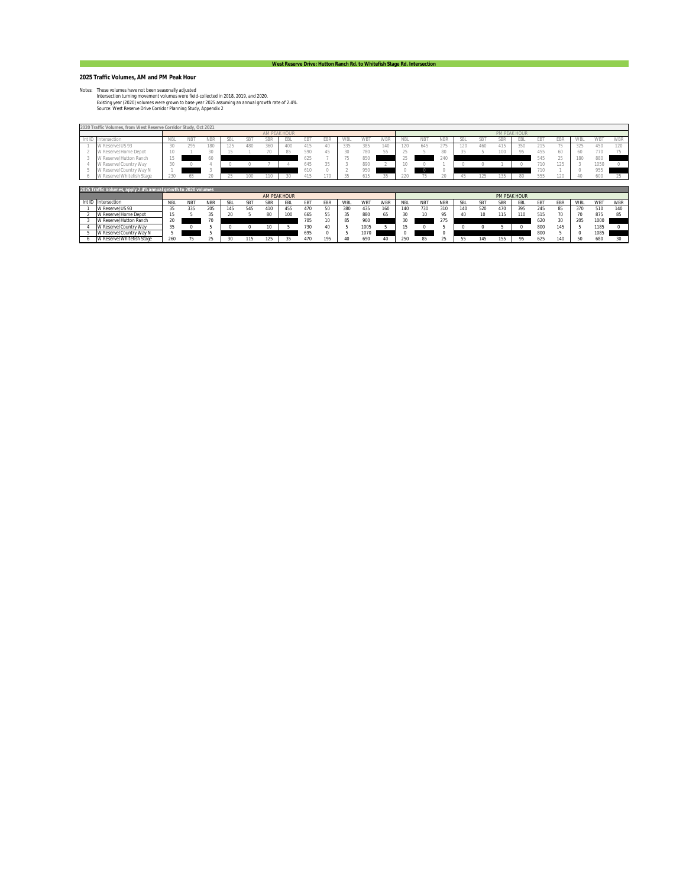#### **2025 Traffic Volumes, AM and PM Peak Hour**

т

: These volumes have not been seasonally adjusted<br>Intersection turning movement volumes were field-collected in 2018, 2019, and 2020.<br>Existing year (2020) volumes were grown to base year 2025 assuming an annual growth rate

|        | 2020 Traffic Volumes, from West Reserve Corridor Study, Oct 2021 |            |                 |            |     |            |              |     |     |     |     |                 |     |            |            |            |            |            |              |     |     |     |     |                 |     |
|--------|------------------------------------------------------------------|------------|-----------------|------------|-----|------------|--------------|-----|-----|-----|-----|-----------------|-----|------------|------------|------------|------------|------------|--------------|-----|-----|-----|-----|-----------------|-----|
|        |                                                                  |            |                 |            |     |            | AM PEAK HOUR |     |     |     |     |                 |     |            |            |            |            |            | PM PEAK HOUR |     |     |     |     |                 |     |
| Int ID | Intersection                                                     | <b>NBL</b> | NB <sub>1</sub> | <b>NBR</b> | SBL | <b>SBT</b> | SBR          | EBL | EBT | EBR | WBL | WB <sub>1</sub> | WBR | <b>NBI</b> | <b>NBT</b> | VBR        | <b>SBL</b> | <b>SBT</b> | SBR          | EBL | EBT | EBF | WBL | WB <sub>1</sub> | WBR |
|        | W Reserve/US 93                                                  | 30         | 295             | 180        | 125 | 480        | 360          | 400 | 415 | 40  | 335 | 385             | 140 | 120        | 645        | 275        | 120        | 460        | 415          | 350 | 215 |     | 325 | 450             | 120 |
|        | W Reserve/Home Depot                                             |            |                 | 30         |     |            |              | 85  | 590 | 45  | 30  | 780             | 55  | 25         |            | 80         | 35         |            | 100          | 95  | 455 | 60  | 60  | 770             | 75  |
|        | W Reserve/Hutton Ranch                                           |            |                 | 60         |     |            |              |     | 625 |     | 75  | 850             |     | 25         |            | 240        |            |            |              |     | 545 | 25  | 180 | 880             |     |
|        | W Reserve/Country Wav                                            |            |                 |            |     |            |              |     | 645 | 35  |     | 890             |     | 10         |            |            |            |            |              |     | 710 | 125 |     | 1050            |     |
|        | W Reserve/Country Way N                                          |            |                 |            |     |            |              |     | 610 |     |     | 950             |     |            | $\cup$     |            |            |            |              |     | 710 |     |     | 955             |     |
|        | W Reserve/Whitefish Stage                                        | 230        | 65              | 20         | 25  | 100        | 110          | 30  | 415 | 170 | 35  | 615             | 35  | 220        | 75.        | 20         | 45         | 125        | 135          | 80  | 555 | 120 | 40  | 600             | 25  |
|        |                                                                  |            |                 |            |     |            |              |     |     |     |     |                 |     |            |            |            |            |            |              |     |     |     |     |                 |     |
|        |                                                                  |            |                 |            |     |            |              |     |     |     |     |                 |     |            |            |            |            |            |              |     |     |     |     |                 |     |
|        | 2025 Traffic Volumes, apply 2.4% annual growth to 2020 volumes   |            |                 |            |     |            |              |     |     |     |     |                 |     |            |            |            |            |            |              |     |     |     |     |                 |     |
|        |                                                                  |            |                 |            |     |            | AM PEAK HOUR |     |     |     |     |                 |     |            |            |            |            |            | PM PEAK HOUR |     |     |     |     |                 |     |
|        | Int ID Intersection                                              | <b>NBL</b> | <b>NBT</b>      | <b>NBR</b> | SBL | <b>SBT</b> | <b>SBR</b>   | EBL | EBT | EBR | WBL | WB <sub>1</sub> | WBR | <b>NBL</b> | <b>NBT</b> | <b>NBR</b> | SBL        | SBT        | SBR          | EBL | EBT | EBR | WBL | WB1             | WBR |
|        | W Reserve/US 93                                                  | 35         | 335             | 205        | 145 | 545        | 410          | 455 | 470 | 50  | 380 | 435             | 160 | 140        | 730        | 310        | 140        | 520        | 470          | 395 | 245 | 85  | 370 | 510             | 140 |
|        | W Reserve/Home Depot                                             | 15         |                 | 35         | 20  |            | 80           | 100 | 665 | 55  | 35  | 880             | 65  | 30         | 10         | 95         | 40         | 10         | 115          | 110 | 515 | 70  | 70  | 875             | 85  |
|        | W Reserve/Hutton Ranch                                           | 20         |                 | 70         |     |            |              |     | 705 | 10  | 85  | 960             |     | 30         |            | 275        |            |            |              |     | 620 | 30  | 205 | 1000            |     |
|        | W Reserve/Country Way                                            | 35         |                 |            |     |            | 10           |     | 730 | 40  |     | 1005            |     | 15         |            |            |            |            |              |     | 800 | 145 |     | 1185            |     |
|        | W Reserve/Country Way N                                          |            |                 |            |     |            |              |     | 695 |     |     | 1070            |     |            |            |            |            |            |              |     | 800 |     |     | 1085            |     |
|        | W Reserve/Whitefish Stage                                        | 260        | 75              | 25         | 30  | 115        | 125          | 35  | 470 | 195 | 40  | 690             | 40  | 250        | 85         | 25         | 55         | 145        | 155          | 95  | 625 | 140 | 50  | 680             | 30  |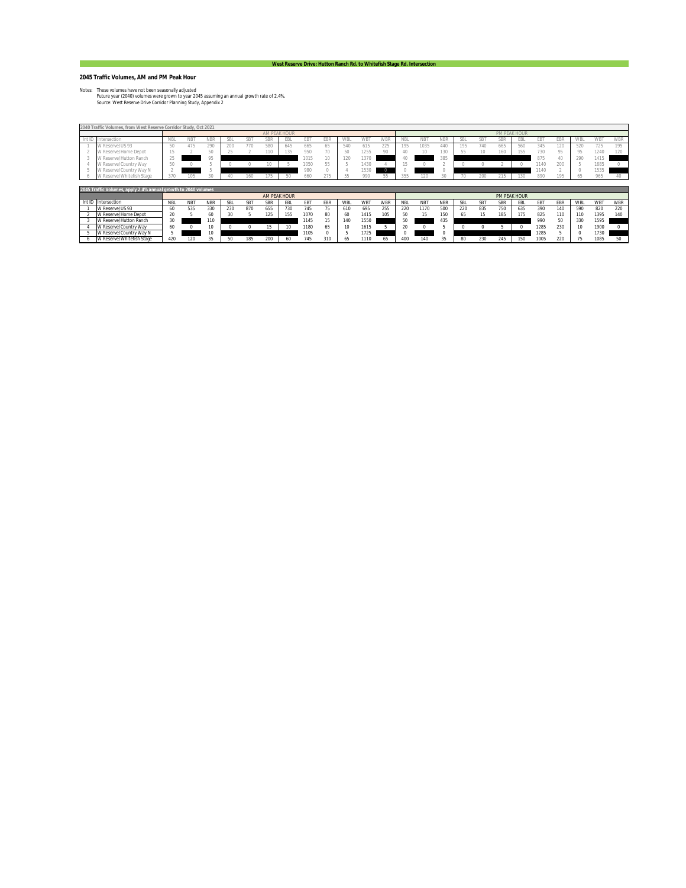#### **2045 Traffic Volumes, AM and PM Peak Hour**

т

Notes: These volumes have not been seasonally adjusted<br>Future year (2040) volumes were grown to year 2045 assuming an annual growth rate of 2.4%.<br>*Source: West Reserve Drive Corridor Planning Study, Appendix 2* 

| WB1<br>725<br>1240<br>1415<br>1685 | WBR<br>195<br>120 |  |  |  |  |  |  |  |  |  |  |
|------------------------------------|-------------------|--|--|--|--|--|--|--|--|--|--|
|                                    |                   |  |  |  |  |  |  |  |  |  |  |
|                                    |                   |  |  |  |  |  |  |  |  |  |  |
|                                    |                   |  |  |  |  |  |  |  |  |  |  |
|                                    |                   |  |  |  |  |  |  |  |  |  |  |
|                                    |                   |  |  |  |  |  |  |  |  |  |  |
|                                    |                   |  |  |  |  |  |  |  |  |  |  |
| 1535                               |                   |  |  |  |  |  |  |  |  |  |  |
| 965                                | 40                |  |  |  |  |  |  |  |  |  |  |
|                                    |                   |  |  |  |  |  |  |  |  |  |  |
|                                    |                   |  |  |  |  |  |  |  |  |  |  |
| PM PEAK HOUR                       |                   |  |  |  |  |  |  |  |  |  |  |
| WB <sub>1</sub>                    | WBR               |  |  |  |  |  |  |  |  |  |  |
| 820                                | 220               |  |  |  |  |  |  |  |  |  |  |
| 1395                               | 140               |  |  |  |  |  |  |  |  |  |  |
| 1595                               |                   |  |  |  |  |  |  |  |  |  |  |
| 1900                               |                   |  |  |  |  |  |  |  |  |  |  |
| 1730                               |                   |  |  |  |  |  |  |  |  |  |  |
| 1085                               | 50                |  |  |  |  |  |  |  |  |  |  |
|                                    |                   |  |  |  |  |  |  |  |  |  |  |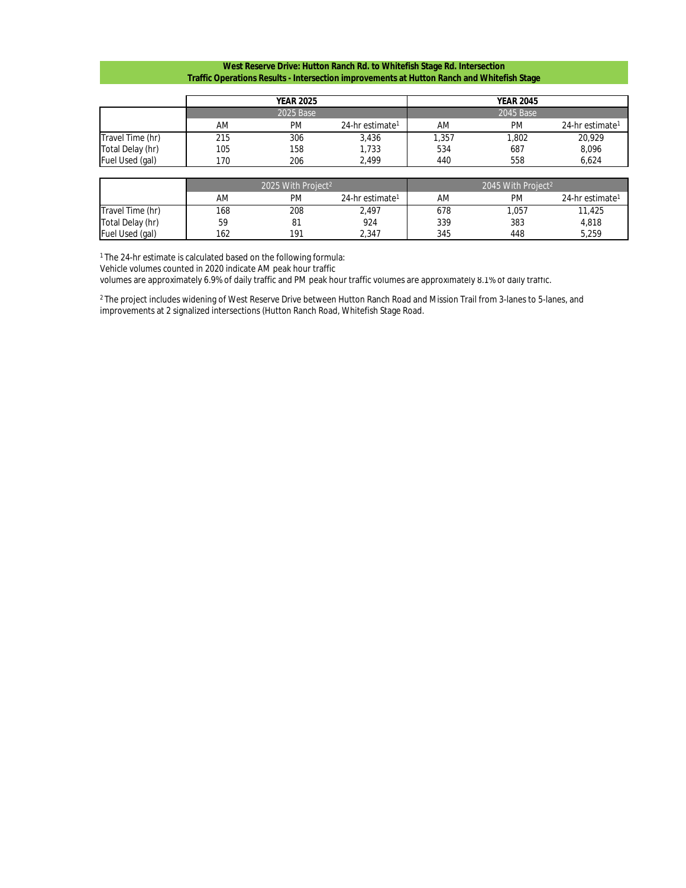### **West Reserve Drive: Hutton Ranch Rd. to Whitefish Stage Rd. Intersection Traffic Operations Results - Intersection improvements at Hutton Ranch and Whitefish Stage**

|                  |     | <b>YEAR 2025</b> |                             |       | <b>YEAR 2045</b> |                             |
|------------------|-----|------------------|-----------------------------|-------|------------------|-----------------------------|
|                  |     | 2025 Base        |                             |       | 2045 Base        |                             |
|                  | AM  | <b>PM</b>        | 24-hr estimate <sup>1</sup> | AM    | PM               | 24-hr estimate <sup>1</sup> |
| Travel Time (hr) | 215 | 306              | 3,436                       | 1,357 | 1,802            | 20,929                      |
| Total Delay (hr) | 105 | 158              | 1,733                       | 534   | 687              | 8,096                       |
| Fuel Used (gal)  | 170 | 206              | 2.499                       | 440   | 558              | 6.624                       |

|                  |     | 2025 With Project <sup>2</sup> |                                |     | 2045 With Project <sup>2</sup> |                                |  |  |  |  |  |
|------------------|-----|--------------------------------|--------------------------------|-----|--------------------------------|--------------------------------|--|--|--|--|--|
|                  | AM  | РM                             | $24$ -hr estimate <sup>1</sup> | AM  | PM                             | $24$ -hr estimate <sup>1</sup> |  |  |  |  |  |
| Travel Time (hr) | 168 | 208                            | 2,497                          | 678 | 057, ا                         | 11,425                         |  |  |  |  |  |
| Total Delay (hr) | 59  |                                | 924                            | 339 | 383                            | 4,818                          |  |  |  |  |  |
| Fuel Used (gal)  | 162 | 191                            | 2,347                          | 345 | 448                            | 5,259                          |  |  |  |  |  |

<sup>1</sup> The 24-hr estimate is calculated based on the following formula:

Vehicle volumes counted in 2020 indicate AM peak hour traffic

volumes are approximately 6.9% of daily traffic and PM peak hour traffic volumes are approximately 8.1% of daily traffic.

<sup>2</sup> The project includes widening of West Reserve Drive between Hutton Ranch Road and Mission Trail from 3-lanes to 5-lanes, and improvements at 2 signalized intersections (Hutton Ranch Road, Whitefish Stage Road.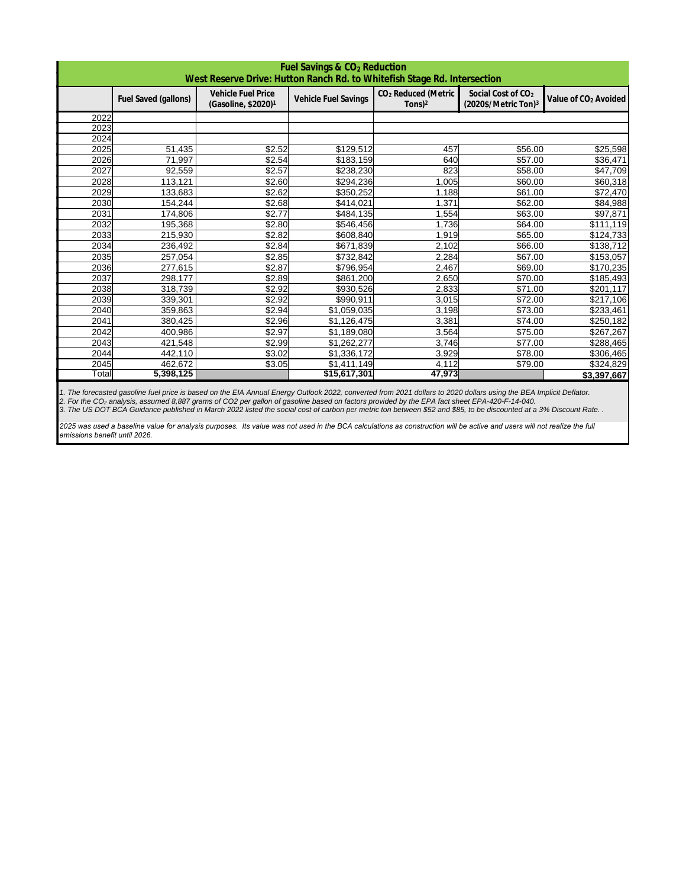|       |                             | West Reserve Drive: Hutton Ranch Rd. to Whitefish Stage Rd. Intersection | <b>Fuel Savings &amp; CO<sub>2</sub> Reduction</b> |                                                                    |                                  |             |
|-------|-----------------------------|--------------------------------------------------------------------------|----------------------------------------------------|--------------------------------------------------------------------|----------------------------------|-------------|
|       | <b>Fuel Saved (gallons)</b> | <b>Vehicle Fuel Price</b><br>(Gasoline, \$2020) <sup>1</sup>             | CO <sub>2</sub> Reduced (Metric<br>Tons $)^2$      | Social Cost of CO <sub>2</sub><br>(2020\$/Metric Ton) <sup>3</sup> | Value of CO <sub>2</sub> Avoided |             |
| 2022  |                             |                                                                          |                                                    |                                                                    |                                  |             |
| 2023  |                             |                                                                          |                                                    |                                                                    |                                  |             |
| 2024  |                             |                                                                          |                                                    |                                                                    |                                  |             |
| 2025  | 51,435                      | \$2.52                                                                   | \$129,512                                          | 457                                                                | \$56.00                          | \$25,598    |
| 2026  | 71,997                      | \$2.54                                                                   | \$57.00                                            | \$36,471                                                           |                                  |             |
| 2027  | 92,559                      | \$2.57                                                                   | \$238,230                                          | 823                                                                | \$58.00                          | \$47,709    |
| 2028  | 113,121                     | \$2.60                                                                   | \$294,236                                          | .005                                                               | \$60.00                          | \$60,318    |
| 2029  | 133,683                     | \$2.62                                                                   | \$350,252                                          | 1,188                                                              | \$61.00                          | \$72,470    |
| 2030  | 154,244                     | \$2.68                                                                   | \$414,021                                          | 1,371                                                              | \$62.00                          | \$84,988    |
| 2031  | 174,806                     | \$2.77                                                                   | \$484,135                                          | 1,554                                                              | \$63.00                          | \$97,871    |
| 2032  | 195,368                     | \$2.80                                                                   | \$546,456                                          | 1,736                                                              | \$64.00                          | \$111,119   |
| 2033  | 215,930                     | \$2.82                                                                   | \$608,840                                          | 1.919                                                              | \$65.00                          | \$124,733   |
| 2034  | 236,492                     | \$2.84                                                                   | \$671,839                                          | 2,102                                                              | \$66.00                          | \$138,712   |
| 2035  | 257,054                     | \$2.85                                                                   | \$732,842                                          | 2,284                                                              | \$67.00                          | \$153,057   |
| 2036  | 277,615                     | \$2.87                                                                   | \$796,954                                          | 2,467                                                              | \$69.00                          | \$170,235   |
| 2037  | 298,177                     | \$2.89                                                                   | \$861,200                                          | 2,650                                                              | \$70.00                          | \$185,493   |
| 2038  | 318,739                     | \$2.92                                                                   | \$930,526                                          | 2,833                                                              | \$71.00                          | \$201,117   |
| 2039  | 339,301                     | \$2.92                                                                   | \$990,911                                          | 3,015                                                              | \$72.00                          | \$217,106   |
| 2040  | 359,863                     | \$2.94                                                                   | \$1,059,035                                        | 3,198                                                              | \$73.00                          | \$233,461   |
| 2041  | 380,425                     | \$2.96                                                                   | \$1,126,475                                        | 3,381                                                              | \$74.00                          | \$250,182   |
| 2042  | 400,986                     | \$2.97                                                                   | \$1,189,080                                        | 3,564                                                              | \$75.00                          | \$267,267   |
| 2043  | 421,548                     | \$2.99                                                                   | \$1,262,277                                        | 3,746                                                              | \$77.00                          | \$288,465   |
| 2044  | 442,110                     | \$3.02                                                                   | \$1,336,172                                        | 3,929                                                              | \$78.00                          | \$306,465   |
| 2045  | 462,672                     | \$3.05                                                                   | \$1,411,149                                        | 4,112                                                              | \$79.00                          | \$324,829   |
| Total | 5,398,125                   |                                                                          | \$15,617,301                                       | 47,973                                                             |                                  | \$3,397,667 |

1. The forecasted gasoline fuel price is based on the EIA Annual Energy Outlook 2022, converted from 2021 dollars to 2020 dollars using the BEA Implicit Deflator.<br>2. For the CO<sub>2</sub> analysis, assumed 8,887 grams of CO2 per g

*2025 was used a baseline value for analysis purposes. Its value was not used in the BCA calculations as construction will be active and users will not realize the full emissions benefit until 2026.*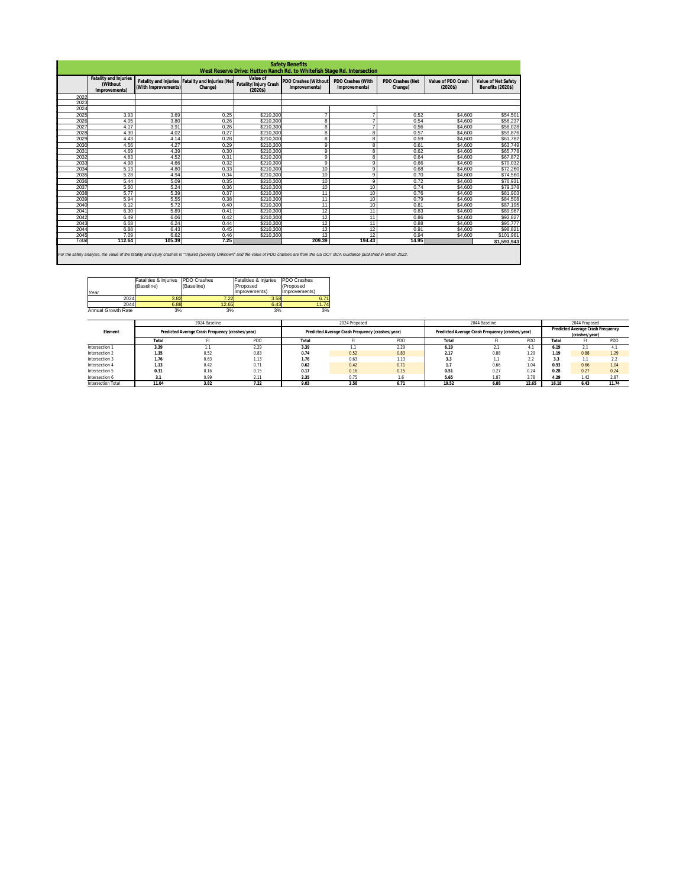|               | <b>Safety Benefits</b><br>West Reserve Drive: Hutton Ranch Rd. to Whitefish Stage Rd. Intersection<br>Value of<br>Value of Net Safety |                                                                                                                                                                                                                                                                                                              |              |           |                |                |               |         |             |  |  |  |  |  |  |  |
|---------------|---------------------------------------------------------------------------------------------------------------------------------------|--------------------------------------------------------------------------------------------------------------------------------------------------------------------------------------------------------------------------------------------------------------------------------------------------------------|--------------|-----------|----------------|----------------|---------------|---------|-------------|--|--|--|--|--|--|--|
|               | <b>Fatality and Injuries</b><br><b>(Without)</b><br>Improvements)                                                                     | <b>Fatality and Injuries</b><br><b>Fatality and Injuries (Net</b><br><b>PDO Crashes (Without</b><br>PDO Crashes (With<br><b>PDO Crashes (Net</b><br>Value of PDO Crash<br>Fatality/Injury Crash<br>(With Improvements)<br>Change)<br>Improvements)<br>Change)<br>$(2020$ \$)<br>Improvements)<br>$(2020$ \$) |              |           |                |                |               |         |             |  |  |  |  |  |  |  |
| 2022          |                                                                                                                                       |                                                                                                                                                                                                                                                                                                              |              |           |                |                |               |         |             |  |  |  |  |  |  |  |
| 2023          |                                                                                                                                       |                                                                                                                                                                                                                                                                                                              |              |           |                |                |               |         |             |  |  |  |  |  |  |  |
| 2024          |                                                                                                                                       |                                                                                                                                                                                                                                                                                                              |              |           |                |                |               |         |             |  |  |  |  |  |  |  |
| 2025          | 3.93<br>3.69<br>0.25<br>\$210,300<br>\$4,600<br>0.52                                                                                  |                                                                                                                                                                                                                                                                                                              |              |           |                |                |               |         |             |  |  |  |  |  |  |  |
| 2026          | 0.26<br>\$4,600<br>4.05<br>\$210,300<br>0.54<br>3.80<br>8                                                                             |                                                                                                                                                                                                                                                                                                              |              |           |                |                |               |         |             |  |  |  |  |  |  |  |
| 2027          | 4.17                                                                                                                                  | 3.91                                                                                                                                                                                                                                                                                                         | 0.26         | \$210,300 | 8              |                | 0.56          | \$4,600 | \$58,028    |  |  |  |  |  |  |  |
| 2028          | 4.30                                                                                                                                  | 4.02                                                                                                                                                                                                                                                                                                         | 0.27         | \$210,300 | 8              | 8              | 0.57          | \$4,600 | \$59,876    |  |  |  |  |  |  |  |
| 2029          | 4.43                                                                                                                                  | 4.14                                                                                                                                                                                                                                                                                                         | 0.28         | \$210,300 | 8              | 8              | 0.59          | \$4,600 | \$61.782    |  |  |  |  |  |  |  |
| 2030          | 4.56                                                                                                                                  | 4.27                                                                                                                                                                                                                                                                                                         | 0.29         | \$210,300 | 9              | $\bar{8}$      | 0.61          | \$4,600 | \$63,749    |  |  |  |  |  |  |  |
| 2031          | 4.69                                                                                                                                  | 4.39                                                                                                                                                                                                                                                                                                         | 0.30         | \$210,300 | 9              | 8              | 0.62          | \$4,600 | \$65,778    |  |  |  |  |  |  |  |
| 2032          | 4.83                                                                                                                                  | 4.52                                                                                                                                                                                                                                                                                                         | 0.31         | \$210,300 | 9              | 8              | 0.64          | \$4,600 | \$67,872    |  |  |  |  |  |  |  |
| 2033          | 4.98                                                                                                                                  | 4.66                                                                                                                                                                                                                                                                                                         | 0.32         | \$210,300 | $\overline{9}$ | $\overline{9}$ | 0.66          | \$4,600 | \$70.032    |  |  |  |  |  |  |  |
| 2034          | 5.13                                                                                                                                  | 4.80                                                                                                                                                                                                                                                                                                         | 0.33         | \$210,300 | 10             | 9              | 0.68          | \$4,600 | \$72,260    |  |  |  |  |  |  |  |
| 2035          | 5.28                                                                                                                                  | 4.94                                                                                                                                                                                                                                                                                                         | 0.34         | \$210,300 | 10             | 9              | 0.70          | \$4,600 | \$74,560    |  |  |  |  |  |  |  |
| 2036          | 5.44                                                                                                                                  | 5.09                                                                                                                                                                                                                                                                                                         | 0.35         | \$210,300 | 10             | $\overline{9}$ | 0.72          | \$4,600 | \$76.931    |  |  |  |  |  |  |  |
| 2037          | 5.60                                                                                                                                  | 5.24                                                                                                                                                                                                                                                                                                         | 0.36         | \$210,300 | 10             | 10             | 0.74          | \$4,600 | \$79,378    |  |  |  |  |  |  |  |
| 2038          | 5.77                                                                                                                                  | 5.39                                                                                                                                                                                                                                                                                                         | 0.37         | \$210,300 | 11             | 10             | 0.76          | \$4,600 | \$81,903    |  |  |  |  |  |  |  |
| 2039          | 5.94                                                                                                                                  | 5.55                                                                                                                                                                                                                                                                                                         | 0.38         | \$210,300 | 11             | 10             | 0.79          | \$4,600 | \$84.508    |  |  |  |  |  |  |  |
| 2040          | 6.12                                                                                                                                  | 5.72                                                                                                                                                                                                                                                                                                         | 0.40         | \$210,300 | 11             | 10             | 0.81          | \$4,600 | \$87.195    |  |  |  |  |  |  |  |
| 204'          | 6.30                                                                                                                                  | 5.89                                                                                                                                                                                                                                                                                                         | 0.41         | \$210,300 | 12             | 11             | 0.83          | \$4,600 | \$89,967    |  |  |  |  |  |  |  |
| 2042          | 6.49                                                                                                                                  | 6.06                                                                                                                                                                                                                                                                                                         | 0.42         | \$210,300 | 12             | 11             | 0.86          | \$4,600 | \$92.827    |  |  |  |  |  |  |  |
| 2043          | 6.68                                                                                                                                  | 6.24                                                                                                                                                                                                                                                                                                         | 0.44         | \$210,300 | 12             | 11             | 0.88          | \$4,600 | \$95,777    |  |  |  |  |  |  |  |
| 2044          | 6.88                                                                                                                                  | 6.43                                                                                                                                                                                                                                                                                                         | 0.45         | \$210,300 | 13             | 12             | 0.91          | \$4,600 | \$98,821    |  |  |  |  |  |  |  |
| 2045<br>Total | 7.09<br>112.64                                                                                                                        | 6.62<br>105.39                                                                                                                                                                                                                                                                                               | 0.46<br>7.25 | \$210,300 | 13<br>209.39   | 12<br>194.43   | 0.94<br>14.95 | \$4,600 | \$101.961   |  |  |  |  |  |  |  |
|               |                                                                                                                                       |                                                                                                                                                                                                                                                                                                              |              |           |                |                |               |         | \$1,593,943 |  |  |  |  |  |  |  |

*For the safety analysis, the value of the fatality and injury crashes is "'Injured (Severity Unknown" and the value of PDO crashes are from the US DOT BCA Guidance published in March 2022.*

|                    | Fatalities & Injuries<br>(Baseline) | <b>PDO Crashes</b><br>(Baseline) | Fatalities & Injuries<br>(Proposed | <b>PDO Crashes</b><br>(Proposed |
|--------------------|-------------------------------------|----------------------------------|------------------------------------|---------------------------------|
| Year               |                                     |                                  | (Improvements)                     | (Improvements)                  |
| 2024               | 3.82                                | '.22                             | 3.58                               | 6.7                             |
| 2044               | 6.88                                | 12.65                            | 6.43                               | 11.74                           |
| Annual Growth Rate | 3%                                  | 3%                               | 3%                                 | 3%                              |

|                           |       | 2024 Baseline                                    |            |              | 2024 Proposed                                    |      |              | 2044 Baseline                                    |                                                     |       | 2044 Proposed |            |  |  |  |
|---------------------------|-------|--------------------------------------------------|------------|--------------|--------------------------------------------------|------|--------------|--------------------------------------------------|-----------------------------------------------------|-------|---------------|------------|--|--|--|
| Element                   |       | Predicted Average Crash Frequency (crashes/year) |            |              | Predicted Average Crash Frequency (crashes/year) |      |              | Predicted Average Crash Frequency (crashes/year) | Predicted Average Crash Frequency<br>(crashes/year) |       |               |            |  |  |  |
|                           | Total |                                                  | <b>PDO</b> | <b>Total</b> |                                                  | PDO  | <b>Total</b> |                                                  |                                                     | Total |               | <b>PDO</b> |  |  |  |
| Intersection 1            | 3.39  |                                                  | 2.29       | 3.39         |                                                  | 2.29 | 6.19         |                                                  |                                                     | 6.19  |               |            |  |  |  |
| Intersection 2            | 1.35  | 0.52                                             | 0.83       | 0.74         | 0.52                                             | 0.83 | 2.17         | 0.88                                             | 1.29                                                | 1.19  | 0.88          | 1.29       |  |  |  |
| Intersection 3            | 1.76  | 0.63                                             | 1.13       | 1.76         | 0.63                                             | 1 13 | 3.3          |                                                  | L.L                                                 |       |               |            |  |  |  |
| Intersection 4            | 1.13  | 0.42                                             | 0.71       | 0.62         | 0.42                                             | 0.71 |              | 0.66                                             | 1.04                                                | 0.93  | 0.66          | 1.04       |  |  |  |
| Intersection 5            | 0.31  | 0.16                                             | 0.15       | 0.17         | 0.16                                             | 0.15 | 0.51         | 0.27                                             | 0.24                                                | 0.28  | 0.27          | 0.24       |  |  |  |
| Intersection 6            |       | 0.99                                             | 2.11       | 2.35         | 0.75                                             |      | 5.65         | 1.87                                             | 3.78                                                | 4.29  |               | 2.87       |  |  |  |
| <b>Intersection Total</b> | 11.04 | 3.82                                             | 7.22       | 9.03         | 3.58                                             | 6.71 | 19.52        | 6.88                                             | 12.65                                               | 16.18 | 6.43          | 11.74      |  |  |  |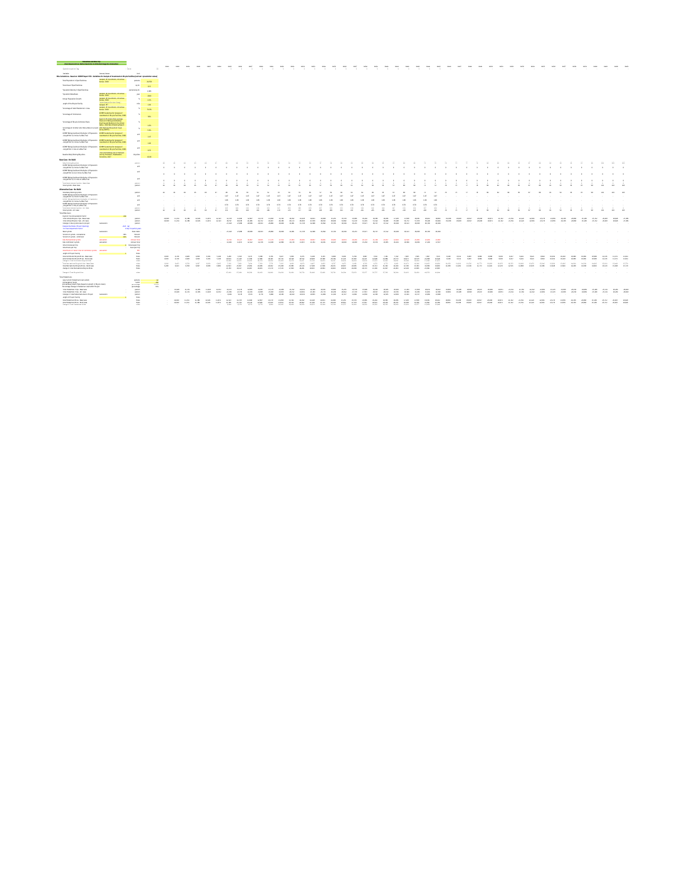| Complete extention                                                                                                              |                                                                                                                                                   | - Faller                                | $\mathbf{x}$           | <b>STATE</b> |                  |                              |                  |                     | 2000                                             | 2026<br>$\sim$<br>$\sim$ | -                      | <b>State Street</b>                                                         | $-2000$<br>and the control                     | $\sim$                      | 2012<br><b>COLLEGE</b>      | 2033<br>$\sim$      | 2004<br>$1 - 1$          | $-$<br>$-$                                         | $-2000$<br>$\sim$<br><b>11.12</b> | <br><b>COLLEGE</b>     | 10.00                      | . .<br>$\sim$                            | $-20.41$<br>- 100<br>$\sim$<br>$\mathbf{1}$ | $-20.425$<br><b>11.12</b>         | 2044<br>$-20.01$<br><b>11.13</b>               | $\sim$                 |                        |                                                      |                        |                           |                                    |                                                    |                           |                        |                           |                       |                         |                                                     |                  |                                |
|---------------------------------------------------------------------------------------------------------------------------------|---------------------------------------------------------------------------------------------------------------------------------------------------|-----------------------------------------|------------------------|--------------|------------------|------------------------------|------------------|---------------------|--------------------------------------------------|--------------------------|------------------------|-----------------------------------------------------------------------------|------------------------------------------------|-----------------------------|-----------------------------|---------------------|--------------------------|----------------------------------------------------|-----------------------------------|------------------------|----------------------------|------------------------------------------|---------------------------------------------|-----------------------------------|------------------------------------------------|------------------------|------------------------|------------------------------------------------------|------------------------|---------------------------|------------------------------------|----------------------------------------------------|---------------------------|------------------------|---------------------------|-----------------------|-------------------------|-----------------------------------------------------|------------------|--------------------------------|
| Value                                                                                                                           | <b>Service Made</b>                                                                                                                               | <b>That's</b>                           |                        |              |                  |                              |                  |                     |                                                  |                          |                        |                                                                             |                                                |                             |                             |                     |                          |                                                    |                                   |                        |                            |                                          |                                             |                                   |                                                |                        |                        |                                                      |                        |                           |                                    |                                                    |                           |                        |                           |                       |                         |                                                     |                  |                                |
| abutaines - Saved on 70207 Report 112 - Cuidebless for Analysis of Investments in Brack Facilities and Ind. - atacholder valued | GRIPE MT GAMAIN, USOHIA                                                                                                                           |                                         |                        |              |                  |                              |                  |                     |                                                  |                          |                        |                                                                             |                                                |                             |                             |                     |                          |                                                    |                                   |                        |                            |                                          |                                             |                                   |                                                |                        |                        |                                                      |                        |                           |                                    |                                                    |                           |                        |                           |                       |                         |                                                     |                  |                                |
| Total Papashiran Specified Area<br>Total Area of Startfield Area                                                                | Burney, 2020                                                                                                                                      | servans<br>sam.                         | <b>SHARE</b><br>$\sim$ |              |                  |                              |                  |                     |                                                  |                          |                        |                                                                             |                                                |                             |                             |                     |                          |                                                    |                                   |                        |                            |                                          |                                             |                                   |                                                |                        |                        |                                                      |                        |                           |                                    |                                                    |                           |                        |                           |                       |                         |                                                     |                  |                                |
| Fundation Density in Sancting Any                                                                                               |                                                                                                                                                   | presencia no                            |                        |              |                  |                              |                  |                     |                                                  |                          |                        |                                                                             |                                                |                             |                             |                     |                          |                                                    |                                   |                        |                            |                                          |                                             |                                   |                                                |                        |                        |                                                      |                        |                           |                                    |                                                    |                           |                        |                           |                       |                         |                                                     |                  |                                |
|                                                                                                                                 | <b>Cultural MT Curriculum Information</b>                                                                                                         |                                         | 1.56                   |              |                  |                              |                  |                     |                                                  |                          |                        |                                                                             |                                                |                             |                             |                     |                          |                                                    |                                   |                        |                            |                                          |                                             |                                   |                                                |                        |                        |                                                      |                        |                           |                                    |                                                    |                           |                        |                           |                       |                         |                                                     |                  |                                |
| <b>Figuration Data Beck</b>                                                                                                     | Burney, January<br>GRAND MT DAMAIN, USOman,                                                                                                       | war)                                    | <b>STAR</b>            |              |                  |                              |                  |                     |                                                  |                          |                        |                                                                             |                                                |                             |                             |                     |                          |                                                    |                                   |                        |                            |                                          |                                             |                                   |                                                |                        |                        |                                                      |                        |                           |                                    |                                                    |                           |                        |                           |                       |                         |                                                     |                  |                                |
| Amust Papulation Crowth                                                                                                         | Burney, January<br><b>Vind finance Caristan Shaly"</b>                                                                                            |                                         | 273                    |              |                  |                              |                  |                     |                                                  |                          |                        |                                                                             |                                                |                             |                             |                     |                          |                                                    |                                   |                        |                            |                                          |                                             |                                   |                                                |                        |                        |                                                      |                        |                           |                                    |                                                    |                           |                        |                           |                       |                         |                                                     |                  |                                |
| longitud for the Boxelle Facility                                                                                               | <b>Calgard MT</b>                                                                                                                                 | mite!                                   |                        |              |                  |                              |                  |                     |                                                  |                          |                        |                                                                             |                                                |                             |                             |                     |                          |                                                    |                                   |                        |                            |                                          |                                             |                                   |                                                |                        |                        |                                                      |                        |                           |                                    |                                                    |                           |                        |                           |                       |                         |                                                     |                  |                                |
| Promise of AAC Regentium Area                                                                                                   | GRIPE MT QUESTAS, US CHINA<br><b>Balliston Millery</b>                                                                                            |                                         | 75.25                  |              |                  |                              |                  |                     |                                                  |                          |                        |                                                                             |                                                |                             |                             |                     |                          |                                                    |                                   |                        |                            |                                          |                                             |                                   |                                                |                        |                        |                                                      |                        |                           |                                    |                                                    |                           |                        |                           |                       |                         |                                                     |                  |                                |
| Petersban of Commuters                                                                                                          | <b>SCHIP GARDINGSTAT AND REST</b><br><b>Buildings &amp; BigDr Fallfiel, 2006</b>                                                                  |                                         | 1075                   |              |                  |                              |                  |                     |                                                  |                          |                        |                                                                             |                                                |                             |                             |                     |                          |                                                    |                                   |                        |                            |                                          |                                             |                                   |                                                |                        |                        |                                                      |                        |                           |                                    |                                                    |                           |                        |                           |                       |                         |                                                     |                  |                                |
| Percentage of Boxelle Commute Share                                                                                             | Approve that and the automobile<br>Mianor for Minnesotra House<br>Brinding and Walking in the United<br><b>Matur - Wild Base Senations Bookly</b> |                                         | 1.50                   |              |                  |                              |                  |                     |                                                  |                          |                        |                                                                             |                                                |                             |                             |                     |                          |                                                    |                                   |                        |                            |                                          |                                             |                                   |                                                |                        |                        |                                                      |                        |                           |                                    |                                                    |                           |                        |                           |                       |                         |                                                     |                  |                                |
| Processings of Children who floor a Star on a Cores 2007 National Rouwhold Travel                                               |                                                                                                                                                   | $\sim$                                  | 101                    |              |                  |                              |                  |                     |                                                  |                          |                        |                                                                             |                                                |                             |                             |                     |                          |                                                    |                                   |                        |                            |                                          |                                             |                                   |                                                |                        |                        |                                                      |                        |                           |                                    |                                                    |                           |                        |                           |                       |                         |                                                     |                  |                                |
| <b>Car</b><br><b>SCURRENT CONTRACTOR CONTRACTOR AND INTERNATIONAL PROPERTY AND INCOME.</b>                                      | Links (SHED)                                                                                                                                      |                                         |                        |              |                  |                              |                  |                     |                                                  |                          |                        |                                                                             |                                                |                             |                             |                     |                          |                                                    |                                   |                        |                            |                                          |                                             |                                   |                                                |                        |                        |                                                      |                        |                           |                                    |                                                    |                           |                        |                           |                       |                         |                                                     |                  |                                |
| Dang William 1/2 mile of a Bike 5 lat<br>SORP Blog Defined Matters of Fepalation SCHIP Galleries for Analysis of                | <b>Executive Division California 2006</b>                                                                                                         | und <sup>1</sup>                        | 1.01                   |              |                  |                              |                  |                     |                                                  |                          |                        |                                                                             |                                                |                             |                             |                     |                          |                                                    |                                   |                        |                            |                                          |                                             |                                   |                                                |                        |                        |                                                      |                        |                           |                                    |                                                    |                           |                        |                           |                       |                         |                                                     |                  |                                |
| Today Million ST Green of a Blue Staff                                                                                          | <b>Bierdewick in Brade Factbox 2006</b>                                                                                                           | said.                                   |                        |              |                  |                              |                  |                     |                                                  |                          |                        |                                                                             |                                                |                             |                             |                     |                          |                                                    |                                   |                        |                            |                                          |                                             |                                   |                                                |                        |                        |                                                      |                        |                           |                                    |                                                    |                           |                        |                           |                       |                         |                                                     |                  |                                |
| SORP EXPAGNITION Multipler of Foundation SCHIP Guardian for Analysis of<br>Today Million, Today of A Black Staff                | <b>Send Month in Bright Exhibits, 1974</b>                                                                                                        | <b>und</b>                              | $A$ and                |              |                  |                              |                  |                     |                                                  |                          |                        |                                                                             |                                                |                             |                             |                     |                          |                                                    |                                   |                        |                            |                                          |                                             |                                   |                                                |                        |                        |                                                      |                        |                           |                                    |                                                    |                           |                        |                           |                       |                         |                                                     |                  |                                |
|                                                                                                                                 | Total and Fullman Die in Flathead                                                                                                                 |                                         |                        |              |                  |                              |                  |                     |                                                  |                          |                        |                                                                             |                                                |                             |                             |                     |                          |                                                    |                                   |                        |                            |                                          |                                             |                                   |                                                |                        |                        |                                                      |                        |                           |                                    |                                                    |                           |                        |                           |                       |                         |                                                     |                  |                                |
| Sorter Sab Satira Books.                                                                                                        | County Montage", Headwaters<br><b>SUMMONS 2017</b>                                                                                                | <b>SAVINGS</b>                          | 20.05                  |              |                  |                              |                  |                     |                                                  |                          |                        |                                                                             |                                                |                             |                             |                     |                          |                                                    |                                   |                        |                            |                                          |                                             |                                   |                                                |                        |                        |                                                      |                        |                           |                                    |                                                    |                           |                        |                           |                       |                         |                                                     |                  |                                |
| Base Case - No Build<br>Date Destinationships                                                                                   |                                                                                                                                                   | enten                                   |                        |              | $\alpha$         | $\sim$                       | $\mathfrak{m}$   | $\sim$              | $\alpha$<br>$^{12}$                              | $\sim$                   | 30 <sub>1</sub>        | $\mathbb{R}^n$<br>12                                                        | 12                                             | $_{\rm M}$                  | $^{12}$                     | 18                  | $\mathbf{M}$<br>15       | $^{40}$                                            | $\sim$                            | $\sim$                 | $^{44}$<br>$\sim$          |                                          | A8                                          | $\sim$                            | $\mathcal{D}$                                  | 25                     | $\mathcal{D}$          | $\mathcal{R}$                                        | $\mathbf{m}$           | $\overline{10}$           | $\overline{\phantom{a}}$<br>$\sim$ | $\mathbf{H}$                                       | $-19$                     | <b>ST</b>              | $+1$                      | $\sim$                | $\sim$<br>$\rightarrow$ | 101                                                 | 100              |                                |
| <b>MORTEN HATALING A STATISTIC OF TAXABLE</b><br>Date William 1/2 mile of a Blue Stat                                           |                                                                                                                                                   | <b>MG</b>                               |                        |              |                  | $\alpha$                     |                  |                     |                                                  |                          |                        |                                                                             |                                                |                             |                             |                     |                          |                                                    |                                   |                        |                            |                                          |                                             |                                   |                                                |                        |                        |                                                      |                        |                           |                                    |                                                    |                           |                        |                           |                       |                         |                                                     |                  |                                |
| SORP EXPASSION CARDINAL OF FOUNDATION<br>Dang William 1/8 1/2 mile of a filter 5/all                                            |                                                                                                                                                   | unt.                                    |                        | <b>A</b>     | $\sim$           | $\sim$                       | $\sim$           | $\sim$              |                                                  |                          |                        | $\sim$                                                                      | $\sim$                                         |                             |                             |                     | $\sim$                   |                                                    |                                   |                        |                            |                                          |                                             |                                   |                                                |                        |                        |                                                      |                        |                           |                                    |                                                    |                           | - 6                    |                           | $\sim$                | $\sim$<br>$\sim$        | $\sim$                                              |                  | <b>A</b>                       |
| <b>MORTEN HATALING A MARINE AT TAXA AREA</b><br>Date Willem 1/2 5 mile of a filter Trail                                        |                                                                                                                                                   | <b>MAG</b>                              |                        |              |                  |                              |                  |                     |                                                  |                          |                        |                                                                             |                                                |                             |                             |                     |                          |                                                    |                                   |                        |                            |                                          |                                             |                                   |                                                |                        |                        |                                                      |                        |                           |                                    |                                                    |                           |                        |                           |                       |                         |                                                     |                  |                                |
| Total Mountain contractors. Base Case                                                                                           |                                                                                                                                                   | enten                                   |                        |              |                  |                              |                  |                     |                                                  |                          |                        |                                                                             |                                                |                             |                             |                     |                          |                                                    |                                   |                        |                            |                                          |                                             |                                   |                                                |                        |                        |                                                      |                        |                           |                                    |                                                    |                           |                        |                           |                       |                         |                                                     |                  |                                |
| Total Cyclisty: Base Case                                                                                                       |                                                                                                                                                   | enten                                   |                        |              |                  |                              |                  |                     |                                                  |                          |                        |                                                                             |                                                |                             |                             |                     |                          |                                                    |                                   |                        |                            |                                          |                                             |                                   |                                                |                        |                        |                                                      |                        |                           |                                    |                                                    |                           |                        |                           |                       |                         |                                                     |                  |                                |
| Alternative Case - No Build<br>Total Frederick Parties                                                                          |                                                                                                                                                   | enten                                   |                        | $\sim$       | $-$              | $\sim$                       | $\sim$           | $\sim$              | $\sim$<br>$\overline{1}$                         | - 44                     | 30 <sub>1</sub>        | $\sim$<br>10.1                                                              | 13                                             | n                           | <b>AB</b>                   | <b>THE</b>          | <b>AB</b><br>14.9        | <b>AB</b>                                          | $\sim$                            | $\sim$                 | $\sim$<br>$\sim$           | <b>ALC</b>                               | A8                                          |                                   | $\sim$                                         |                        |                        |                                                      |                        |                           |                                    |                                                    |                           |                        |                           |                       |                         |                                                     |                  |                                |
| SORP Blood in those Multipler of Foundation<br>Date Willen 1/1 mile of a like hist                                              |                                                                                                                                                   | und.                                    |                        |              |                  |                              |                  |                     | $10^{\circ}$                                     | 1.07                     | 147                    | 1.47<br>147                                                                 | 1.47                                           | 1.47                        | 147                         | <b>A</b>            | 147<br>1.47              | 1.07                                               | 147                               | 1.47                   | 147                        | 1.07<br>$10^{\circ}$                     | 147                                         | 1.67                              | $\sim$                                         |                        |                        |                                                      |                        |                           |                                    |                                                    |                           |                        |                           |                       |                         |                                                     |                  |                                |
| SORP Blog Livelinod Mallytim of Foundation<br>Today Million ST Green of a Blue Staff                                            |                                                                                                                                                   | <b>und</b>                              |                        |              |                  |                              |                  |                     | 1 OK                                             |                          |                        | 1.06                                                                        | 1.04                                           | 1.00                        | to                          |                     | 100                      |                                                    | 1.04                              |                        | to                         |                                          |                                             |                                   |                                                |                        |                        |                                                      |                        |                           |                                    |                                                    |                           |                        |                           |                       |                         |                                                     |                  |                                |
| SORP Blood in those Multipler of Foundation                                                                                     |                                                                                                                                                   | <b>ME</b>                               |                        |              |                  |                              |                  |                     | 0.72                                             | 0.72                     | 0.72                   | 6.32<br>6.50                                                                | 0.75                                           | 0.70                        | 0.70                        | 0.72                | 0.72<br>0.30             | 0.30                                               | 6.50                              | 0.70                   | 0.70<br>0.72               | 0.72                                     | 0.73                                        | 0.35                              | 6.55<br>0.75                                   |                        |                        |                                                      |                        |                           |                                    |                                                    |                           |                        |                           |                       |                         |                                                     |                  |                                |
| Dang William Treate of a Black Coat<br>Total films Induced Custom - All: Case                                                   |                                                                                                                                                   | enten                                   |                        |              |                  |                              |                  |                     | $^{22}$                                          | $^{12}$                  | 130                    | 12.2<br>125                                                                 | 117                                            | <b>120</b>                  | 122                         | 22                  | 127<br>120               | m                                                  | 126                               | 128                    | 10                         | 244<br>10                                | m                                           | $^{18}$                           | 187<br>140                                     |                        |                        |                                                      |                        |                           |                                    |                                                    |                           |                        |                           |                       |                         |                                                     |                  |                                |
| Total Cyclick- All, Case<br>Detail Allen Glass                                                                                  |                                                                                                                                                   | person                                  |                        |              |                  |                              |                  |                     | <b>State</b>                                     | m.                       | <b>Tall</b>            | <b>SAY</b>                                                                  | <b>TES</b>                                     | <b>TER</b>                  |                             | ×                   | <b>THE</b><br><b>SER</b> |                                                    | w                                 |                        | <b>STR</b><br><b>State</b> | <b>The</b>                               | <b>STAR</b>                                 |                                   | <b>THE</b>                                     |                        |                        |                                                      |                        |                           |                                    |                                                    |                           |                        |                           |                       |                         | <b>STE</b>                                          | <b>SALE</b>      |                                |
| Brycki Tra-Annatzaton Factor                                                                                                    | 280                                                                                                                                               |                                         |                        |              |                  |                              |                  |                     |                                                  |                          |                        |                                                                             |                                                |                             |                             |                     |                          |                                                    |                                   |                        |                            |                                          |                                             |                                   |                                                |                        |                        |                                                      |                        |                           |                                    |                                                    |                           |                        |                           |                       |                         |                                                     |                  |                                |
| Total Annual Birgille Tripic Base Case<br>Total Annual Biographics, All Case                                                    |                                                                                                                                                   | enten<br>penan                          |                        | 10/02        | 11.000           | state ring vine was<br>11.00 | 71.626           | <b>STATE</b><br>man | <b>STATISTICS</b><br>100,000<br>12.121<br>20,702 | 12440<br>42428           | <b>TEMPER</b><br>com-  | 12.2.2010<br>4227                                                           | 11,000<br><b>CONTRACT</b><br>0.367<br>44,180   | <b>LARGE</b><br><b>GLTD</b> | <b>LA VIA</b><br><b>DOM</b> | <b>TANT</b><br>crom | <b>LEWIS</b><br>49.012   | <b>TA TEA</b><br><b>SANTA</b><br>eros.<br>1000     | 15,906<br>\$1,529                 | THE TIME<br>12.279     | 14,583<br>53,322           | 14,536<br>17,292<br>14,400<br>15.5%      | 17,458<br>\$6,772                           | <b>TEAM</b><br>srvn               | <b>SEATS</b><br><b>STATE</b><br>19795<br>stat. | <b>CASTING</b><br>1979 | THE AREA<br>19,400     | <b>STATISTICS</b><br><b>START</b><br>20217<br>20,000 | <b>STARTS</b><br>20.07 | 121, 121,<br>21.032       | <b>THE RAIL</b><br>21.362          | <b>TESTING</b><br>The American<br>22.222<br>22,491 | <b>THE STATE</b><br>20.15 | TRASH<br>23409         | <b>THE TIME</b><br>26.099 | 12,448<br>25448       | THE WAY<br>23,792       | <b>THE FEE</b><br>The Toronto<br>am.<br>29,240      | age.             | the work of the same<br>27.336 |
| Charge in Statistick due to printed<br><b>Brown Mart Robert Brown Peaceful</b>                                                  | CAVADA<br>2021 year                                                                                                                               | enton                                   |                        |              |                  |                              |                  |                     | 27.479                                           | 27,998                   | 28.509                 | 29.793                                                                      | 29.029<br>32.42                                | 31.083                      | 20,728                      | 12,408              | 1100                     | 31,797<br>34.900                                   | 25.232                            | ass.                   | 36,727                     | 27.872                                   | 38,306<br>29.22.2                           | 29.929                            | 40.783<br>0.446                                |                        |                        |                                                      |                        |                           |                                    |                                                    |                           |                        |                           |                       |                         |                                                     |                  |                                |
| first from Adjustment Factor                                                                                                    |                                                                                                                                                   | CALIN and any                           |                        |              |                  |                              |                  |                     |                                                  |                          |                        |                                                                             |                                                |                             |                             |                     |                          |                                                    |                                   |                        |                            |                                          |                                             |                                   |                                                |                        |                        |                                                      |                        |                           |                                    |                                                    |                           |                        |                           |                       |                         |                                                     |                  |                                |
| <b>Bracquillon</b><br>Percent of publics - monoponed                                                                            | CAVADOR<br><b>MA</b>                                                                                                                              | Anathors<br>Personal                    |                        |              |                  |                              |                  |                     | 27.679                                           | 27.9%                    | 25,509                 | 2010                                                                        | 21021<br>20.62                                 | 21.087                      | 20,728                      | 22,408              | 1100                     | <b>TO THE</b><br>34.900                            | 20.212                            | am                     | 36,727                     | 27.512<br>38,300                         | 29.22.2                                     | 28.928                            | 40.782<br>41,448                               |                        |                        |                                                      |                        |                           |                                    |                                                    |                           |                        |                           |                       |                         |                                                     |                  |                                |
| Percent of cyclistic commuted                                                                                                   | $\overline{C}$                                                                                                                                    | Personal                                |                        |              |                  |                              |                  |                     |                                                  |                          |                        |                                                                             |                                                |                             |                             |                     |                          |                                                    |                                   |                        |                            |                                          |                                             |                                   |                                                |                        |                        |                                                      |                        |                           |                                    |                                                    |                           |                        |                           |                       |                         |                                                     |                  |                                |
| <b>She Reproduced Cellula</b><br><b>She Generally Calledo</b>                                                                   | Calculation<br>Caladon                                                                                                                            | Armyll Total<br>Annual Total            |                        |              |                  |                              |                  |                     | 12,626                                           |                          |                        | 11871 12.022 12.035 12.639 12.956 13.156 13.637 13.021 14.021 14.021 14.630 |                                                |                             |                             |                     |                          |                                                    | <b>CALIFORNIA</b>                 | 19,294 19,574          |                            | 10,503<br>14,247                         | 34,584                                      | <b>MARKE</b>                      | 17,292<br><b>STATE</b>                         |                        |                        |                                                      |                        |                           |                                    |                                                    |                           |                        |                           |                       |                         |                                                     |                  |                                |
| <b>Extra materials and him.</b>                                                                                                 |                                                                                                                                                   | <b>C</b> computer car film              |                        |              |                  |                              |                  |                     |                                                  |                          |                        |                                                                             |                                                |                             |                             |                     |                          |                                                    |                                   |                        |                            |                                          |                                             |                                   |                                                |                        |                        |                                                      |                        |                           |                                    |                                                    |                           |                        |                           |                       |                         |                                                     |                  |                                |
| <b>Extra Mount our NW</b><br>Total Hours of Travel Total for Commute Calletin, Calculation                                      |                                                                                                                                                   | <b>Douglass Star</b><br><b>CONTRACT</b> |                        |              |                  |                              |                  |                     |                                                  |                          |                        |                                                                             |                                                |                             |                             |                     |                          |                                                    |                                   |                        |                            |                                          |                                             |                                   |                                                |                        |                        |                                                      |                        |                           |                                    |                                                    |                           |                        |                           |                       |                         |                                                     |                  |                                |
| <b>WARD AT FAIRY DOWN</b>                                                                                                       |                                                                                                                                                   | move                                    |                        |              |                  |                              |                  |                     |                                                  |                          |                        |                                                                             |                                                |                             |                             |                     |                          |                                                    |                                   |                        |                            |                                          |                                             |                                   |                                                |                        |                        |                                                      |                        |                           |                                    |                                                    |                           |                        |                           |                       |                         |                                                     |                  |                                |
| Total Committee Work Millery, Bank Corp.<br>Total Commuter Bowde Millery, Build Coor                                            |                                                                                                                                                   | move<br>move                            |                        | 6A30<br>6AXD | 4.5%<br>4.5%     | 1.878<br>4,828               | 4,933<br>4,933   | 5.000<br>1.010      | 1.1.45<br>1.149.<br>19.876<br>5.140              | <b>A TAB</b><br>17.230   | A great<br>17,894      | 1.165<br>TT WA                                                              | 1.726<br>1.850<br>38,732<br>18.101             | <b>SHOW</b><br><b>WILL</b>  | 4,553<br>19332              | 4,200<br>78,900     | AZD.<br>23.1mm           | $-0.015$<br>4425<br>21226<br>20.7%                 | $-4.388$<br>21483                 | <b>A DIT</b><br>22.141 | 1,532<br>22,608            | 7.303<br>7.332<br>25,000<br>213.73       | 1,482<br>26071                              | 7.40%<br>26,579                   | <b>TRNT</b><br><b>THEFT</b><br>21.0%<br>29,425 | <b>START</b><br>8.140  | <b>A WELL</b><br>1.212 | 5.027<br><b>BAM</b><br>3, 027<br><b>BAM</b>          | <b>STORY</b><br>1,509  | <b>yoth</b><br><b>von</b> | a ver<br>9.227                     | 4.473<br>5.627<br>1421<br>$+422$                   | a me<br>1,824             | <b>SANTI</b><br>10.032 | <b>AN WELL</b><br>10,263  | <b>MARK</b><br>10,650 | <b>START</b><br>10487   | <b>STATE</b><br><b>CONTRACT</b><br>10,906<br>11,136 | 11,372<br>11,372 | 10,423<br>11,452               |
| Change in Total Commuter Bicycle Milles<br>Total Bacondonal Roycle Miles - Resultant                                            |                                                                                                                                                   | $_{\rm max}$<br><b>ANGELES</b>          |                        | 4.292        | A COL            | 4.558                        | <b>AMER</b>      | 4.978               | 11.626<br><b>CONTRACTOR</b><br>4,892             | <b>HAT</b><br>7207       | 12.122<br><b>Table</b> | 12.276<br>Total C                                                           | 12428<br>12,956<br><b>THEFT</b><br><b>TELE</b> | 13.178<br>100               | 11.07<br>1203               | 13.50<br>1.477      | 16021<br>nam.            | 14,327<br>16430<br><b>Contract</b><br><b>STATE</b> | 14929<br>1362                     | 19,200<br>1.200        | 15,535<br><b>BASE</b>      | 15,925<br>16.247<br>1.50<br><b>STATE</b> | 14,584<br>15,100                            | 14,950                            | 11292<br>17.637<br>toam.<br><b>STATE</b>       | new                    | <b>CONTRACTOR</b>      | <b>COLUMN</b><br>11.000                              | TEATS.                 | <b>TERM</b>               | <b>TERM</b>                        | <b>THEFT</b><br><b>START</b>                       | <b>THE TANK</b>           | <b>TRANS</b>           | <b>TERRA</b>              | 14.998                | 1.4 5.96                | <b>SEREA</b><br><b>CONTRACTOR</b>                   | 13, 648          | <b>TA TAL</b>                  |
| Total Brichardson Bowde Miles, Build Case                                                                                       |                                                                                                                                                   | mins.                                   |                        | 4.292        | 6.622            | 4,555                        | Add ?            | 1.025               | 22.923<br>4,552                                  | note:<br>16.127          | 23902                  | 25.00                                                                       | 26922<br>25,000<br>11122<br>17,822             | 25,935                      | 26,534<br>10,202            | 27.096              | 27448<br>19241           | 33.07<br>25,251<br>79,876                          | 29.016<br>20,295                  | mon.<br>20.723         | m/m                        | 25.362<br>10020<br>2.67                  | 12.700                                      | $\frac{10.208}{11.305}$<br>21.005 | 30.0%<br>36,834<br>23,095                      |                        | 11018 11291            | 11.500 11.773                                        | 12022                  | 12279 12329               |                                    | 12.800 13.030 13.304 13.626                        |                           |                        | 12976                     | 14,209                | 14.909                  | 10.129<br>10,824                                    |                  | 19,448 19,774                  |
| Daniel in Staffen regional Boste Miles                                                                                          |                                                                                                                                                   | mins.                                   |                        |              |                  |                              |                  |                     | 15,762                                           |                          | 14.07                  | 14,870                                                                      |                                                | 17,900                      |                             | 15,467              |                          | 79.053                                             |                                   |                        | 21.160                     | 22/26/2                                  | 22329                                       |                                   | 23,987                                         |                        |                        |                                                      |                        |                           |                                    |                                                    |                           |                        |                           |                       |                         |                                                     |                  |                                |
| Change to Total Boxde Miles                                                                                                     |                                                                                                                                                   | mins.                                   |                        |              |                  |                              |                  |                     |                                                  |                          |                        | 27.07 27.99 25.50 25.00 25.00 25.00                                         | 20,418                                         |                             | 21.087 21.728               | 22, 628             | 11092 11791              | <b>SERVICE</b>                                     | 23,232                            | mary taxes             |                            | 27.512 28.104                            | THE SECTION                                 | <b>THE REAL</b>                   | An year.<br><b>CLASS</b>                       |                        |                        |                                                      |                        |                           |                                    |                                                    |                           |                        |                           |                       |                         |                                                     |                  |                                |
| <b>DEALTHANDERS</b><br>Sale Carinet Pedrolitan Lives (2020)<br><b>Breustoppe factor</b>                                         |                                                                                                                                                   | servans<br><b>Build</b>                 | <b>START</b>           |              |                  |                              |                  |                     |                                                  |                          |                        |                                                                             |                                                |                             |                             |                     |                          |                                                    |                                   |                        |                            |                                          |                                             |                                   |                                                |                        |                        |                                                      |                        |                           |                                    |                                                    |                           |                        |                           |                       |                         |                                                     |                  |                                |
| Annual Saw Growth Kate Supplier projects in Brack Grond<br><b>But not have Channel to Business countries of the Business</b>    |                                                                                                                                                   | eminities<br>eminities                  | 2,375<br><b>Selle</b>  |              |                  |                              |                  |                     |                                                  |                          |                        |                                                                             |                                                |                             |                             |                     |                          |                                                    |                                   |                        |                            |                                          |                                             |                                   |                                                |                        |                        |                                                      |                        |                           |                                    |                                                    |                           |                        |                           |                       |                         |                                                     |                  |                                |
| Total Protection Trial: East Cala-<br>Total Pededican Trips - ATL Case                                                          |                                                                                                                                                   | enton<br>person                         |                        |              | 10 920<br>10,500 | <b>STER</b><br>11,150        | 11,288<br>11,384 | 77,626<br>11,426    | 11,872<br>12,522<br>11,872<br>25,304             | 12.379<br>21,756         | <b>STARE</b><br>22,254 | 12.907<br>72.645                                                            | 11179<br>13, 018<br>23,364<br>23,662           | 13.502<br>24,152            | 16,002<br>26,662            | 16.328<br>25,182    | 16407<br>25,755          | 14,900<br>19,298<br>36,258<br>24,872               | 23.373<br>27,279                  | 15,906<br>27,957       | 16,262<br>28,543           | 14,503<br>14736<br>29,100<br>29.765      | 17,292<br>30,394                            | <b>TTAM</b><br>11.036             | 18,007<br>18.452<br>21,491<br>32,360           | 18,805<br>18,825       | 28,293<br>19,193       | 20207<br>78403<br>19,603<br>20207                    | 20,000<br>20,000       | 20877<br>20,877           | 21.232<br>21,332                   | 21.562<br>22,222<br>21,762<br>22,222               | 22,697<br>22,497          | 21170<br>21130         | 23,405<br>23,469          | 26,118<br>24,158      | 2048<br>26,669          | 25,792<br>25,722<br>25,790<br>29,722                | 26,261<br>26,261 | 26,520<br>25,820               |
| Charge in Situt Preinstrans due Schlused                                                                                        | CAVADOR                                                                                                                                           | enter                                   |                        |              |                  |                              |                  |                     | 1.35                                             | 1278                     | 1,574                  | 277                                                                         | <b>THE</b><br>10.7%                            | 10410                       | 10,430                      | 10,810              | 11004                    | <b>DOM:</b><br>11107                               | 11,805                            | 12.010                 | 12,321                     | 12.56<br>12830                           | 11,521                                      | 13.277                            | 13,660<br>13,968                               |                        |                        |                                                      |                        |                           |                                    |                                                    |                           |                        |                           |                       |                         |                                                     |                  |                                |
| <b>SANDARE AND REAL PROPERTY</b><br>Total Profession Miles - Sale Calif.                                                        |                                                                                                                                                   | <b>HON</b><br>move                      |                        |              | 10,920           | 11,195                       | 11.000 11.420    |                     | 11872                                            | 12.121 12.179            | 12402                  | 12,927                                                                      | 11179<br>13, 618                               | 12.542                      | 14,032                      | 14.525              | 16421                    | 14,902<br>71,210                                   | 13,578                            | 15,956                 | 16,252                     | 14,583<br>16,736                         | 17,292                                      | TT ASS                            | 18.000<br>18,412                               | 10,000                 | 19,700                 | 20217<br>19,403                                      | 20,652                 | 20171                     | 21.012                             | 21.54 22.222 22.651                                |                           | 20100                  | 23,659                    | 26,708                | 25448                   | 29.792 29.732                                       |                  | 24,243 24,522                  |
| Total Projection Miles - BuildCase<br>Charge in Silial Pededicin Miles                                                          |                                                                                                                                                   | mind<br>mins.                           |                        |              | 10 KVD           | 11.110                       | 11,386           | 11,426              | 11,872<br>27,324<br>1,350                        | $-2.756$                 | 22216<br>1379          | 22.685<br>2.775                                                             | 23,146<br>23,463<br><b>TYRE</b><br>10,793      | 24,152<br>10.410            | 24.682<br>10430             | 25, 362<br>10.855   | 25,775<br>11080          | 36,258<br>36,812<br>11.000<br>11,887               | 27,279<br>11,803                  | 27,957<br>12,010       | 20M<br>12,326              | 29,150<br>29.765<br>12,563               | 33,394<br>12.830<br>11,107                  | 11.036<br>11.077                  | 31.695<br>32,380<br>13440<br>13,968            | 18,803                 | 19,793                 | 19,403<br>20217                                      | 20,600                 | 20 Km                     | 21.112                             | 21, 762<br>22,232                                  | 22 APT                    | 21.170                 | 21459                     | 24,158                | 25,668                  | 25,792<br>29,722                                    | 24,265           | 29, 820                        |

**Pedestrian and Bike Trip West Reserve Drive: Hutton Ranch Rd. to Whitefish Stage Rd. Intersection**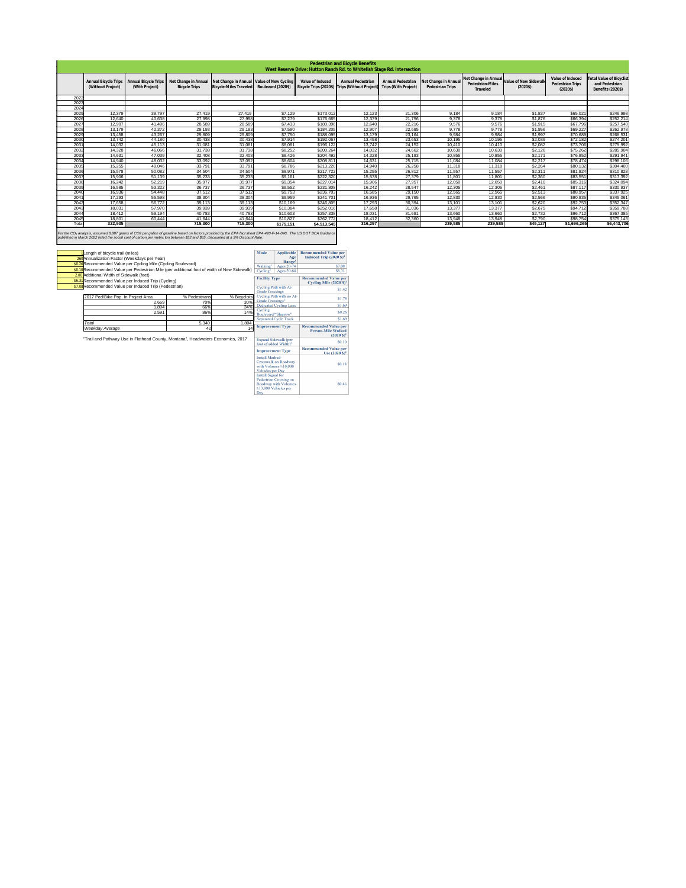|              | <b>Pedestrian and Bicycle Benefits</b><br>West Reserve Drive: Hutton Ranch Rd. to Whitefish Stage Rd. Intersection |                                               |                                              |                                                                              |                    |                                            |                                                            |                                                         |                                                 |                                                                    |                                         |                                                        |                                                                        |
|--------------|--------------------------------------------------------------------------------------------------------------------|-----------------------------------------------|----------------------------------------------|------------------------------------------------------------------------------|--------------------|--------------------------------------------|------------------------------------------------------------|---------------------------------------------------------|-------------------------------------------------|--------------------------------------------------------------------|-----------------------------------------|--------------------------------------------------------|------------------------------------------------------------------------|
|              | <b>Annual Bicycle Trips</b><br>(Without Project)                                                                   | <b>Annual Bicycle Trips</b><br>(With Project) | Net Change in Annual<br><b>Bicycle Trips</b> | Net Change in Annual   Value of New Cycling<br><b>Bicycle-Miles Traveled</b> | Boulevard (2020S)  | Value of Induced<br>Bicycle Trips (2020\$) | <b>Annual Pedestrian</b><br><b>Trips (Without Project)</b> | <b>Annual Pedestrian</b><br><b>Trips (With Project)</b> | Net Change in Annual<br><b>Pedestrian Trips</b> | Net Change in Annual<br><b>Pedestrian-Miles</b><br><b>Traveled</b> | <b>Value of New Sidewal</b><br>(2020\$) | Value of Induced<br><b>Pedestrian Trips</b><br>(2020S) | <b>Total Value of Bicyclist</b><br>and Pedestrian<br>Benefits (2020\$) |
| 2022         |                                                                                                                    |                                               |                                              |                                                                              |                    |                                            |                                                            |                                                         |                                                 |                                                                    |                                         |                                                        |                                                                        |
| 2023         |                                                                                                                    |                                               |                                              |                                                                              |                    |                                            |                                                            |                                                         |                                                 |                                                                    |                                         |                                                        |                                                                        |
| 2024         |                                                                                                                    |                                               |                                              |                                                                              |                    |                                            |                                                            |                                                         |                                                 |                                                                    |                                         |                                                        |                                                                        |
| 2025<br>2026 | 12.379<br>12,640                                                                                                   | 39,797<br>40,638                              | 27.419<br>27,998                             | 27,419<br>27.998                                                             | \$7,129<br>\$7,279 | \$173,013<br>\$176,665                     | 12.123<br>12,379                                           | 21,306<br>21.756                                        | 9.184<br>9.378                                  | 9.184<br>9.378                                                     | \$1,837<br>\$1,876                      | \$65,021<br>\$66,394                                   | \$246,998<br>\$252,214                                                 |
| 2027         | 12,907                                                                                                             | 41.496                                        | 28,589                                       | 28,589                                                                       | \$7,433            | \$180,396                                  | 12.640                                                     | 22.216                                                  | 9.576                                           | 9.576                                                              | \$1,915                                 | \$67,796                                               | \$257.540                                                              |
| 2028         | 13.179                                                                                                             | 42,372                                        | 29,193                                       | 29,193                                                                       | \$7,590            | \$184,205                                  | 12,907                                                     | 22,685                                                  | 9.778                                           | 9.778                                                              | \$1,956                                 | \$69,227                                               | \$262,978                                                              |
| 2029         | 13.458                                                                                                             | 43,267                                        | 29,809                                       | 29,809                                                                       | \$7,750            | \$188,095                                  | 13.179                                                     | 23.164                                                  | 9.984                                           | 9.984                                                              | \$1,997                                 | \$70,689                                               | \$268,531                                                              |
| 2030         | 13.742                                                                                                             | 44.180                                        | 30,438                                       | 30.438                                                                       | \$7,914            | \$192.06                                   | 13,458                                                     | 23,653                                                  | 10,195                                          | 10,195                                                             | \$2,039                                 | \$72,182                                               | \$274,201                                                              |
| 2031         | 14.032                                                                                                             | 45,113                                        | 31,081                                       | 31,081                                                                       | \$8,081            | \$196,122                                  | 13.742                                                     | 24,152                                                  | 10,410                                          | 10.410                                                             | \$2.082                                 | \$73,706                                               | \$279,992                                                              |
| 2032         | 14,328                                                                                                             | 46,066                                        | 31.738                                       | 31.738                                                                       | \$8,252            | \$200,26                                   | 14.032                                                     | 24.662                                                  | 10,630                                          | 10.630                                                             | \$2,126                                 | \$75,262                                               | \$285,904                                                              |
| 2033         | 14,631                                                                                                             | 47.039                                        | 32.408                                       | 32,408                                                                       | \$8,426            | \$204,492                                  | 14,328                                                     | 25.183                                                  | 10.855                                          | 10.855                                                             | \$2,171                                 | \$76,852                                               | \$291,941                                                              |
| 2034         | 14.940                                                                                                             | 48,032                                        | 33,092                                       | 33,092                                                                       | \$8,604            | \$208,811                                  | 14.631                                                     | 25,715                                                  | 11.084                                          | 11.084                                                             | \$2.217                                 | \$78,474                                               | \$298,106                                                              |
| 2035         | 15.255                                                                                                             | 49.046                                        | 33.791                                       | 33,791                                                                       | \$8,786            | \$213,220                                  | 14,940                                                     | 26,258                                                  | 11.318                                          | 11,318                                                             | \$2,264                                 | \$80,132                                               | \$304,400                                                              |
| 2036         | 15.578                                                                                                             | 50,082                                        | 34.504                                       | 34.504                                                                       | \$8,971            | \$217,722                                  | 15.255                                                     | 26.812                                                  | 11.557                                          | 11.557                                                             | \$2.311                                 | \$81.824                                               | \$310,828                                                              |
| 2037         | 15,906                                                                                                             | 51,139                                        | 35,233                                       | 35,233                                                                       | \$9,161            | \$222,320                                  | 15,578                                                     | 27,379                                                  | 11,801                                          | 11,801                                                             | \$2,360                                 | \$83,551                                               | \$317,392                                                              |
| 2038         | 16.242                                                                                                             | 52,219                                        | 35,977                                       | 35,977                                                                       | \$9,354            | \$227.01                                   | 15,906                                                     | 27.957                                                  | 12,050                                          | 12.050                                                             | \$2,410                                 | \$85,316                                               | \$324,094                                                              |
| 2039         | 16.585                                                                                                             | 53,322                                        | 36,737                                       | 36,737                                                                       | \$9,552            | \$231,808                                  | 16.242                                                     | 28,547                                                  | 12,305                                          | 12,305                                                             | \$2,461                                 | \$87,117                                               | \$330,937                                                              |
| 2040         | 16,936                                                                                                             | 54,448                                        | 37,512                                       | 37,512                                                                       | \$9,753            | \$236,703                                  | 16,585                                                     | 29,150                                                  | 12,565                                          | 12,565                                                             | \$2.513                                 | \$88,957                                               | \$337,925                                                              |
| 2041         | 17.293                                                                                                             | 55,598                                        | 38,304                                       | 38,304                                                                       | \$9,959            | \$241,70                                   | 16,936                                                     | 29.765                                                  | 12,830                                          | 12,830                                                             | \$2,566                                 | \$90,835                                               | \$345,061                                                              |
| 2042         | 17,658                                                                                                             | 56,772                                        | 39,113                                       | 39,113                                                                       | \$10,169           | \$246,805                                  | 17,293                                                     | 30,394                                                  | 13,101                                          | 13.101                                                             | \$2,620                                 | \$92,753                                               | \$352,347                                                              |
| 2043         | 18,031                                                                                                             | 57,970                                        | 39,939                                       | 39.939                                                                       | \$10,384           | \$252,016                                  | 17,658                                                     | 31.036                                                  | 13,377                                          | 13,377                                                             | \$2,675                                 | \$94,712                                               | \$359,788                                                              |
| 2044         | 18.412                                                                                                             | 59,194                                        | 40.783                                       | 40.783                                                                       | \$10,603           | \$257,338                                  | 18.03'                                                     | 31.691                                                  | 13,660                                          | 13,660                                                             | \$2,732                                 | \$96,712                                               | \$367,385                                                              |
| 2045         | 18,801                                                                                                             | 60,444                                        | 41,644                                       | 41.644                                                                       | \$10,827           | \$262,772                                  | 18.412                                                     | 32,360                                                  | 13,948                                          | 13,948                                                             | \$2,790                                 | \$98,754                                               | \$375,143                                                              |
| Total        | 322,935                                                                                                            |                                               | 715,300                                      | 715,300                                                                      | \$175.151          | \$4,513,545                                | 316,257                                                    |                                                         | 239,585                                         | 239,585                                                            | \$45,127                                | \$1,696,265                                            | \$6,443,706                                                            |

For the CO2 analysis, assumed 8,887 grams of CO2 per gallon of gasoline based on factors provided by the EPA fact sheet EPA-420-F-14-040. The US DOT BCA Guidance<br>published in March 2022 listed the social cost of carbon per

| Length of bicycle trail (miles)<br>260 Annualization Factor (Weekdays per Year)<br>\$0.26 Recommended Value per Cycling Mile (Cycling Boulevard) |                                                        |                          | Mode                                                                      | <b>Applicable</b><br>Age<br>Range <sup>3</sup> | <b>Recommended Value per</b><br>Induced Trip (2020 S) <sup>4</sup> |  |  |  |
|--------------------------------------------------------------------------------------------------------------------------------------------------|--------------------------------------------------------|--------------------------|---------------------------------------------------------------------------|------------------------------------------------|--------------------------------------------------------------------|--|--|--|
| \$0.10 Recommended Value per Pedestrian Mile (per additional foot of width of New Sidewalk)                                                      | Walking<br><b>Cycling</b>                              | Ages 20-74<br>Ages 20-64 | \$7.08<br>S6.31                                                           |                                                |                                                                    |  |  |  |
| 2.00 Additional Width of Sidewalk (feet)<br>\$6.31 Recommended Value per Induced Trip (Cycling)                                                  | <b>Facility Type</b>                                   | Cycling Path with At-    | <b>Recommended Value per</b><br>Cycling Mile (2020 S) <sup>1</sup>        |                                                |                                                                    |  |  |  |
|                                                                                                                                                  | \$7.08 Recommended Value per Induced Trip (Pedestrian) |                          |                                                                           |                                                |                                                                    |  |  |  |
| 2017 Ped/Bike Pop, In Project Area                                                                                                               | % Pedestrians                                          | % Bicyclists<br>30%      | Grade Crossings <sup>2</sup>                                              | Cycling Path with no At-                       | \$1.78                                                             |  |  |  |
| 2.659<br>1.894                                                                                                                                   | 70%<br>66%                                             | 34%                      |                                                                           | Dedicated Cycling Lane                         | \$1.69                                                             |  |  |  |
| 2.591                                                                                                                                            | 86%                                                    | 14%                      | Cycling                                                                   | Boulevard/"Sharrow"                            | \$0.26                                                             |  |  |  |
|                                                                                                                                                  | 1.804<br>Total<br>5.340                                |                          |                                                                           |                                                |                                                                    |  |  |  |
|                                                                                                                                                  |                                                        |                          |                                                                           |                                                |                                                                    |  |  |  |
| Weekdav Average                                                                                                                                  | <b>Improvement Type</b>                                |                          | <b>Recommended Value per</b><br><b>Person-Mile Walked</b><br>$(2020 S)^1$ |                                                |                                                                    |  |  |  |
|                                                                                                                                                  |                                                        |                          |                                                                           |                                                |                                                                    |  |  |  |

"Trail and Pathway Use in Flathead County, Montana", Headwaters Economics, 2017

| <b>Separated Cycle Track</b>                                                                                       | \$1.69                                                                    |
|--------------------------------------------------------------------------------------------------------------------|---------------------------------------------------------------------------|
| <b>Improvement Type</b>                                                                                            | <b>Recommended Value per</b><br><b>Person-Mile Walked</b><br>$(2020 S)^1$ |
| <b>Expand Sidewalk (per</b><br>foot of added Width) <sup>2</sup>                                                   | S <sub>0.10</sub>                                                         |
| <b>Improvement Type</b>                                                                                            | <b>Recommended Value per</b><br>Use (2020 S) <sup>1</sup>                 |
| Install Marked-<br><b>Crosswalk on Roadway</b><br>with Volumes $\geq$ 10,000<br><b>Vehicles per Dav</b>            | \$0.18                                                                    |
| <b>Install Signal for</b><br>Pedestrian Crossing on<br><b>Roadway with Volumes</b><br>>13,000 Vehicles per<br>Dove | \$0.46                                                                    |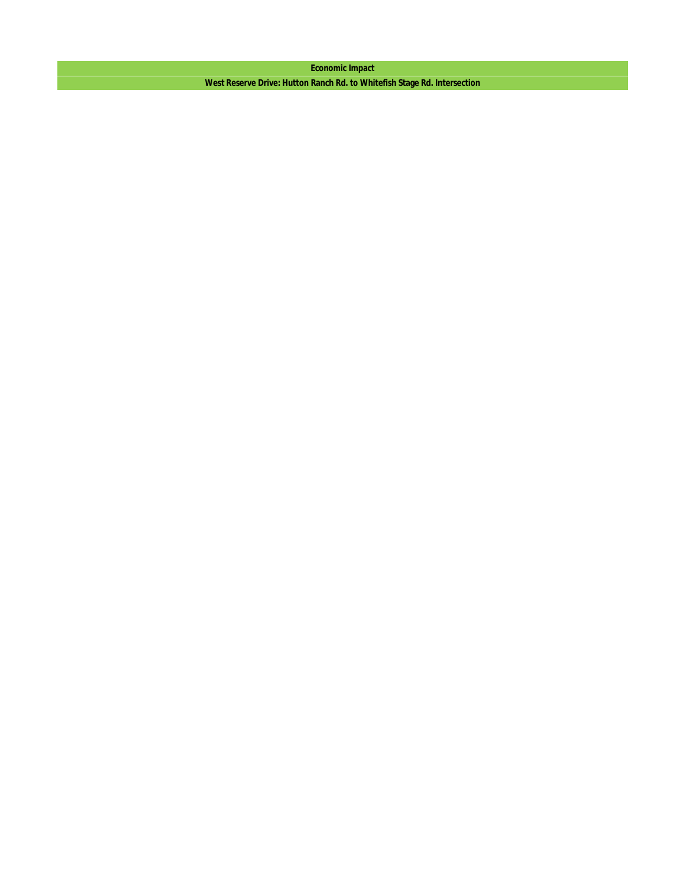**Economic Impact**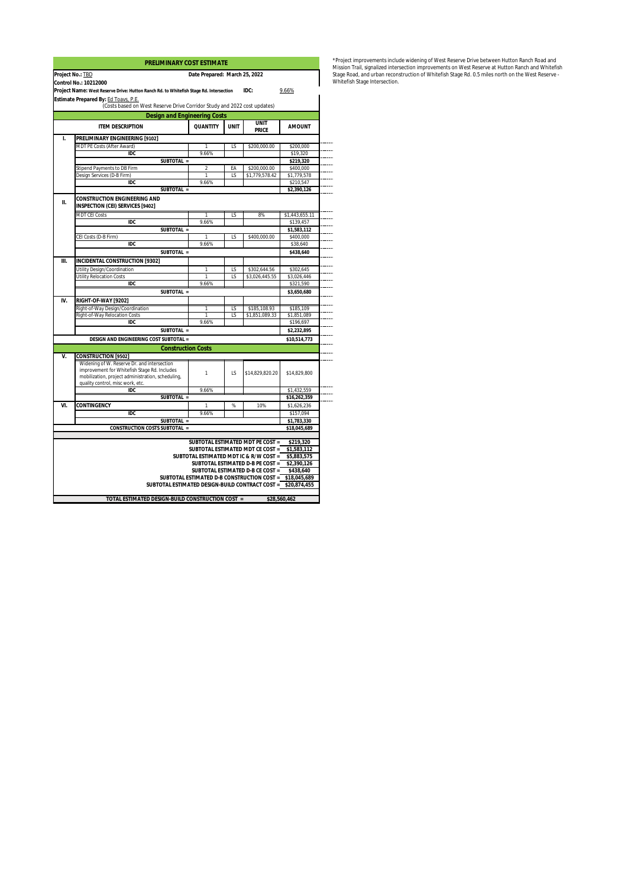|     | <b>PRELIMINARY COST ESTIMATE</b>                                                                                                                                                     |                               |                              |                                                                                                                |                                         |
|-----|--------------------------------------------------------------------------------------------------------------------------------------------------------------------------------------|-------------------------------|------------------------------|----------------------------------------------------------------------------------------------------------------|-----------------------------------------|
|     | Project No.: TBD                                                                                                                                                                     | Date Prepared: March 25, 2022 |                              |                                                                                                                |                                         |
|     | Control No.: 10212000                                                                                                                                                                |                               |                              |                                                                                                                |                                         |
|     | Project Name: West Reserve Drive: Hutton Ranch Rd. to Whitefish Stage Rd. Intersection                                                                                               |                               |                              | IDC:                                                                                                           | 9.66%                                   |
|     | Estimate Prepared By: Ed Toavs, P.E.                                                                                                                                                 |                               |                              |                                                                                                                |                                         |
|     | (Costs based on West Reserve Drive Corridor Study and 2022 cost updates)                                                                                                             |                               |                              |                                                                                                                |                                         |
|     | <b>Design and Engineering Costs</b>                                                                                                                                                  |                               |                              |                                                                                                                |                                         |
|     | <b>ITEM DESCRIPTION</b>                                                                                                                                                              | <b>QUANTITY</b>               | <b>UNIT</b>                  | <b>UNIT</b><br><b>PRICE</b>                                                                                    | <b>AMOUNT</b>                           |
| I.  | PRELIMINARY ENGINEERING [9102]                                                                                                                                                       |                               |                              |                                                                                                                |                                         |
|     | MDT PE Costs (After Award)                                                                                                                                                           | 1                             | LS                           | \$200,000.00                                                                                                   | \$200,000                               |
|     | <b>IDC</b>                                                                                                                                                                           | 9.66%                         |                              |                                                                                                                | \$19,320                                |
|     | SUBTOTAL =                                                                                                                                                                           |                               |                              |                                                                                                                | \$219,320                               |
|     | Stipend Payments to DB Firm                                                                                                                                                          | $\overline{a}$                | EA                           | \$200,000.00                                                                                                   | \$400,000                               |
|     | Design Services (D-B Firm)                                                                                                                                                           |                               | $\overline{LS}$              | \$1,779,578.42                                                                                                 | \$1,779,578                             |
|     | <b>IDC</b>                                                                                                                                                                           | 9.66%                         |                              |                                                                                                                | \$210,547                               |
|     | SUBTOTAL =                                                                                                                                                                           |                               |                              |                                                                                                                | \$2,390,126                             |
| П.  | CONSTRUCTION ENGINEERING AND<br>INSPECTION (CEI) SERVICES [9402]                                                                                                                     |                               |                              |                                                                                                                |                                         |
|     | MDT CEI Costs                                                                                                                                                                        | 1                             | LS                           | 8%                                                                                                             | \$1.443.655.11                          |
|     | <b>IDC</b>                                                                                                                                                                           | 9.66%                         |                              |                                                                                                                | \$139.457                               |
|     | SUBTOTAL =                                                                                                                                                                           |                               |                              |                                                                                                                | \$1.583.112                             |
|     | CEI Costs (D-B Firm)                                                                                                                                                                 | 1                             | LS                           | \$400,000.00                                                                                                   | \$400.000                               |
|     | <b>IDC</b>                                                                                                                                                                           | 9.66%                         |                              |                                                                                                                | \$38,640                                |
|     | SUBTOTAL =                                                                                                                                                                           |                               |                              |                                                                                                                | \$438,640                               |
| Ш.  | INCIDENTAL CONSTRUCTION [9302]                                                                                                                                                       |                               |                              |                                                                                                                |                                         |
|     | Utility Design/Coordination                                                                                                                                                          | 1                             | LS                           | \$302,644.56                                                                                                   | \$302,645                               |
|     | Utility Relocation Costs                                                                                                                                                             | 1                             | LS                           | \$3,026,445.55                                                                                                 | \$3,026,446                             |
|     | <b>IDC</b>                                                                                                                                                                           | 9.66%                         |                              |                                                                                                                | \$321.590                               |
|     | SUBTOTAL =                                                                                                                                                                           |                               |                              |                                                                                                                | \$3,650,680                             |
| IV. |                                                                                                                                                                                      |                               |                              |                                                                                                                |                                         |
|     | RIGHT-OF-WAY [9202]                                                                                                                                                                  |                               |                              |                                                                                                                |                                         |
|     | Right-of-Way Design/Coordination                                                                                                                                                     | 1<br>1                        | $\overline{\text{LS}}$<br>LS | \$185,108.93                                                                                                   | \$185,109                               |
|     | Right-of-Way Relocation Costs<br><b>IDC</b>                                                                                                                                          | 9.66%                         |                              | \$1,851,089.33                                                                                                 | \$1,851,089<br>\$196,697                |
|     | SUBTOTAL =                                                                                                                                                                           |                               |                              |                                                                                                                |                                         |
|     |                                                                                                                                                                                      |                               |                              |                                                                                                                | \$2,232,895                             |
|     | <b>DESIGN AND ENGINEERING COST SUBTOTAL =</b>                                                                                                                                        |                               |                              |                                                                                                                | \$10,514,773                            |
|     | <b>Construction Costs</b>                                                                                                                                                            |                               |                              |                                                                                                                |                                         |
| v.  | <b>CONSTRUCTION [9502]</b>                                                                                                                                                           |                               |                              |                                                                                                                |                                         |
|     | Widening of W. Reserve Dr. and intersection<br>improvement for Whitefish Stage Rd. Includes<br>mobilization, project administration, scheduling,<br>quality control, misc work, etc. | $\mathbf{1}$                  | IS.                          | \$14,829,820.20                                                                                                | \$14,829,800                            |
|     | IDC                                                                                                                                                                                  | 9.66%                         |                              |                                                                                                                | \$1,432,559                             |
|     | SUBTOTAL =                                                                                                                                                                           |                               |                              |                                                                                                                | \$16,262,359                            |
| VI. | CONTINGENCY                                                                                                                                                                          | 1                             | %                            | 10%                                                                                                            | \$1,626,236                             |
|     | <b>IDC</b>                                                                                                                                                                           | 9.66%                         |                              |                                                                                                                | \$157.094                               |
|     | SUBTOTAL =                                                                                                                                                                           |                               |                              |                                                                                                                | \$1,783,330                             |
|     | <b>CONSTRUCTION COSTS SUBTOTAL =</b>                                                                                                                                                 |                               |                              |                                                                                                                |                                         |
|     |                                                                                                                                                                                      |                               |                              |                                                                                                                | \$18,045,689                            |
|     |                                                                                                                                                                                      |                               |                              | SUBTOTAL ESTIMATED MDT PE COST =<br>SUBTOTAL ESTIMATED MDT CE COST =<br>SUBTOTAL ESTIMATED MDT IC & R/W COST = | \$219,320<br>\$1,583,112<br>\$5.883.575 |
|     |                                                                                                                                                                                      |                               |                              | SUBTOTAL ESTIMATED D-B PE COST =                                                                               | \$2,390,126                             |
|     |                                                                                                                                                                                      |                               |                              | SUBTOTAL ESTIMATED D-B CE COST =                                                                               | \$438,640                               |
|     |                                                                                                                                                                                      |                               |                              | SUBTOTAL ESTIMATED D-B CONSTRUCTION COST =                                                                     | \$18,045,689                            |
|     | SUBTOTAL ESTIMATED DESIGN-BUILD CONTRACT COST =                                                                                                                                      |                               |                              |                                                                                                                | \$20,874,455                            |
|     |                                                                                                                                                                                      |                               |                              |                                                                                                                |                                         |
|     | TOTAL ESTIMATED DESIGN-BUILD CONSTRUCTION COST =                                                                                                                                     |                               |                              |                                                                                                                | \$28,560,462                            |

PRELIMINARY COST ESTIMATE<br>Mission Trail, signalized intersection improvements on West Reserve Drive between Hutton Ranch Road and<br>- Stage Road, and urban reconstruction of Whitefish Stage Rd. 0.5 miles north on the West Re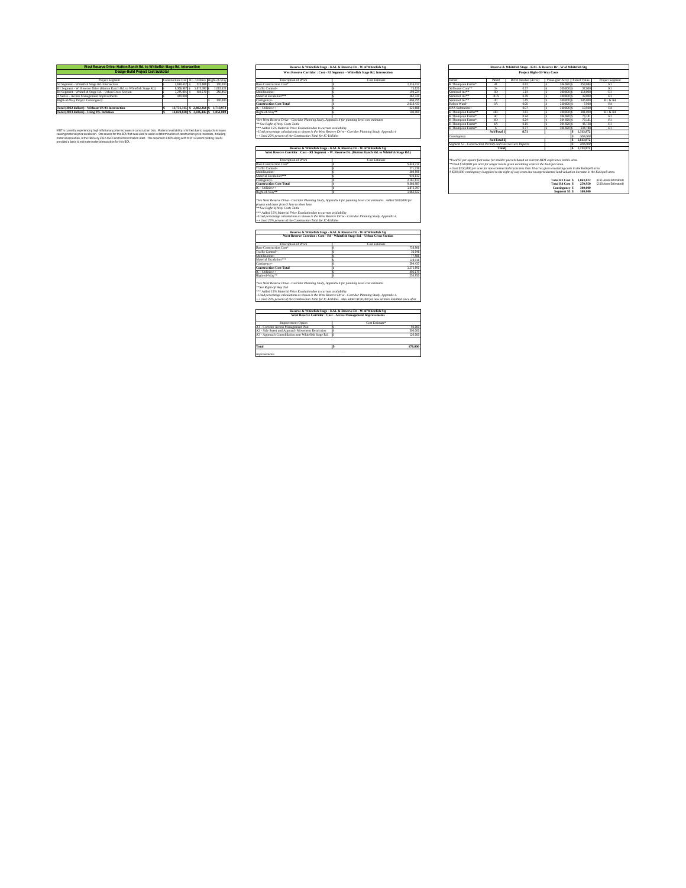| West Reserve Drive: Hutton Ranch Rd. to Whitefish Stage Rd. Intersection |                                               |          |                                      |                                | Reserve & Whitefish Stage - KAL & Reserve Dr - W of Whitefish Stg            | Reserve & Whitefish Stage - KAL & Reserve Dr - W of Whitefish Stg |        |                    |                               |         |                    |  |
|--------------------------------------------------------------------------|-----------------------------------------------|----------|--------------------------------------|--------------------------------|------------------------------------------------------------------------------|-------------------------------------------------------------------|--------|--------------------|-------------------------------|---------|--------------------|--|
| Design-Build Project Cost Subtotal                                       |                                               |          |                                      |                                | West Reserve Corridor : Cost - S3 Segment - Whitefish Stage Rd. Intersection | <b>Project Right-Of-Way Costs</b>                                 |        |                    |                               |         |                    |  |
|                                                                          |                                               |          |                                      |                                |                                                                              |                                                                   |        |                    |                               |         |                    |  |
| Project Segment                                                          | Construction Cost IC - Utilities Right-of-Way |          |                                      | Description of Work            | Cost Estimate                                                                |                                                                   | Parrel | ROW Needed (Acres) | Value (per Acre) Parcel Value |         | Project Segm       |  |
| \$3 Segment - Whitefish Stage Rd. Intersection                           | 2618.437 \$                                   | 523.688  | 100,000                              | Base Construction Cost*        | 1,516,417                                                                    | R Thompson Farms <sup>*</sup>                                     |        | 0.83               | 304.920 S                     | 253.08  |                    |  |
| R1 Segment - W. Reserve Drive (Hutton Ranch Rd. to Whitefish Stage Rd.)  | 9 366 983                                     | 1.873.39 | 1.063.022                            | Traffic Control+               |                                                                              | Stillwater Corp**                                                 |        |                    | 100,000 S                     |         |                    |  |
| R4 Segment - Whitefish Stage Rd. - Urban Cross Section                   | 1.275.891                                     | 405.17   | 250.950                              | Mobilization+                  | 159.224                                                                      | Semitool Inc**                                                    |        |                    | 100,000 \$                    | 114.00  |                    |  |
| A Series - Access Management Improvements                                |                                               |          |                                      | Material Escalation***         | 262.720                                                                      | semitool Inc**                                                    | the st |                    | 100,000 \$                    | 29.00   |                    |  |
| Right-of-Way Project Contingency                                         |                                               |          | 300,000                              | Contigency+                    | 604.25                                                                       | Semitool Inc**                                                    |        |                    | 100,000                       | 145.000 | <b>R1 &amp; R4</b> |  |
|                                                                          |                                               |          |                                      | <b>Construction Cost Total</b> | 2.618.437                                                                    | Robyn Ward+                                                       |        |                    | 150,000 \$                    |         | R4                 |  |
| Total (2022 dollars) - Without US 93 Intersection                        |                                               |          | 13,731,315 \$2,802,264 \$1,713,972   | IC - Utilities++               | 523,685                                                                      | <b>BPA</b> Substation+                                            |        |                    | 150,000                       | 10.506  | R4                 |  |
| Total (2023 dollars) - Using 8% Inflation                                |                                               |          | 14,829,820 \$ 3,026,446 \$ 1,851,089 | Right-of-Way**                 | 100.000                                                                      | R Thompson Farms**                                                |        |                    | 100,000 S                     | 281,000 | R1 & R4            |  |
|                                                                          |                                               |          |                                      |                                |                                                                              |                                                                   | --     | ___                | ___                           | ______  | ___                |  |

| : Hutton kanch kd. to Whitelish Stade kd. Intersection                                           |                                               |           |                                      | Reserve & Whitefish Stage - KAL & Reserve Dr - W of Whitefish Stg                                           |                                                                              |  |                        |                 | Reserve & Whitefish Stage - KAL & Reserve Dr - V |             |
|--------------------------------------------------------------------------------------------------|-----------------------------------------------|-----------|--------------------------------------|-------------------------------------------------------------------------------------------------------------|------------------------------------------------------------------------------|--|------------------------|-----------------|--------------------------------------------------|-------------|
| Design-Build Project Cost Subtotal                                                               |                                               |           |                                      |                                                                                                             | West Reserve Corridor : Cost - S3 Segment - Whitefish Stage Rd. Intersection |  |                        |                 | <b>Project Right-Of-Way Costs</b>                |             |
|                                                                                                  |                                               |           |                                      |                                                                                                             |                                                                              |  |                        |                 |                                                  |             |
|                                                                                                  | Construction Cost IC - Utilities Right-of-Way |           |                                      | Description of Work                                                                                         | Cost Estimate                                                                |  |                        | Parcel          | ROW Needed (Acres)                               | Value (per) |
|                                                                                                  | 2618.437                                      | 523.688   | 100,000                              | <b>Base Construction Cost*</b>                                                                              | 1,516,417                                                                    |  | R Thompson Farms*      |                 | 0.83                                             |             |
| ach Rd. to Whitefish Stage Rd.)                                                                  | 9.366.987                                     | 1.873.397 | 1.063.022                            | Traffic Controls                                                                                            | 75.821                                                                       |  | Stillwater Corp**      |                 | 0.37                                             |             |
| ross Section                                                                                     | 1,275.891                                     | 405.17    | 250.950                              | Mobilizations.                                                                                              | 159.224                                                                      |  | Semitool Inc**         | $\overline{3}$  | 114                                              |             |
|                                                                                                  | 470.000                                       |           |                                      | Material Escalation***                                                                                      | 262.720                                                                      |  | Semitool Inc**         | 20A             | 0.39                                             |             |
|                                                                                                  |                                               |           | 300,000                              | Contigency+                                                                                                 | 604.255                                                                      |  | Semitool Inc**         | de alta         | 1.45                                             |             |
|                                                                                                  |                                               |           |                                      | <b>Construction Cost Total</b>                                                                              | 2,618,437                                                                    |  | Robyn Ward+            | 34              | 0.05                                             |             |
| section                                                                                          |                                               |           | 13,731,315 \$2,802,264 \$1,713,972   | IC . Utilitiessa                                                                                            | 523,688                                                                      |  | <b>RPA</b> Substations |                 | 0.07                                             |             |
|                                                                                                  |                                               |           | 14,829,820 \$ 3,026,446 \$ 1,851,089 | Right-of-Way**                                                                                              | 100.000                                                                      |  | R Thompson Farms**     | 4Es             | 2.81                                             |             |
|                                                                                                  |                                               |           |                                      |                                                                                                             |                                                                              |  | R Thompson Farms*      | $\overline{10}$ | 0.24                                             |             |
|                                                                                                  |                                               |           |                                      | <sup>8</sup> See West Reserve Drive - Corridor Planning Study, Appendix 4 for planning level cost estimates |                                                                              |  | R Thompson Farms*      | 4D              | 0.24                                             |             |
|                                                                                                  |                                               |           |                                      | <sup>88</sup> See Right-of-Way Costs Table                                                                  |                                                                              |  | R Thompson Farms*      | $4\Delta$       | 0.15                                             |             |
|                                                                                                  |                                               |           |                                      | *** Added 15% Material Price Escalation due to current availability                                         |                                                                              |  | R Thompson Farms*      |                 | 0.77                                             |             |
| cico increases in construction hids. Material availability is limited due to sunnly chain jours. |                                               |           |                                      |                                                                                                             |                                                                              |  |                        | ----            | .                                                |             |

|                                | Reserve & Whitefish Stage - KAL & Reserve Dr - W of Whitefish Stg                                   | Total                                                                                                                  |                                   | 1,713,972 |  |
|--------------------------------|-----------------------------------------------------------------------------------------------------|------------------------------------------------------------------------------------------------------------------------|-----------------------------------|-----------|--|
|                                | West Reserve Corridor : Cost - R1 Segment - W. Reserve Dr. (Hutton Ranch Rd. to Whitefsh Stage Rd.) |                                                                                                                        |                                   |           |  |
| Description of Work            | Cost Estimate                                                                                       | <sup>14</sup> Used \$7 per square foot value for smaller parcels based on current MDT experience in this area.         |                                   |           |  |
| <b>Base Construction Cost*</b> | 5.424.711                                                                                           | <sup>14</sup> Used \$100.000 per acre for larger tracks given escalating costs in the Kalispell area.                  |                                   |           |  |
| Traffic Control+               | 271.236                                                                                             | +Used \$150,000 per acre for non-commercial tracks less than 10 acres siven escalating costs in the Kalispell area.    |                                   |           |  |
| Mobilization+                  | 569.595                                                                                             | A \$300,000 contingency is applied to the right-of-way costs due to unprecidented land valuation increase in the Kalis |                                   |           |  |
| Material Escalation***         | 939.832                                                                                             |                                                                                                                        |                                   |           |  |
| Contigencya                    | 161,613                                                                                             |                                                                                                                        | Total R1 Cost \$ 1.063.022 (6.51) |           |  |

**Right-of-Way\*\* Segment S3 \$ 100,000 Segment S3 \$ 100,000** *\*See West Reserve Drive - Corridor Planning Study, Appendix 4 for planning level cost estimates. Added \$500,000 for project end taper from 5 lane to three lane.*

*\*\* See Right-of-Way Costs Table \*\*\* Added 15% Material Price Escalation due to current availability +Used percentage calculations as shown in the West Reserve Drive - Corridor Planning Study, Appendix 4*

#### *++Used 20% percent of the Construction Total for IC-Utilities*

| West Reserve Corridor : Cost - R4 - Whitefish Stage Rd. - Urban Cross Section |  |               |  |  |  |  |  |  |  |  |
|-------------------------------------------------------------------------------|--|---------------|--|--|--|--|--|--|--|--|
| Description of Work                                                           |  | Cost Estimate |  |  |  |  |  |  |  |  |
| <b>Base Construction Cost*</b>                                                |  | 738.906       |  |  |  |  |  |  |  |  |
| Traffic Control+                                                              |  | 36.946        |  |  |  |  |  |  |  |  |
| Mobilizational                                                                |  | 77.586        |  |  |  |  |  |  |  |  |
| Material Escalation***                                                        |  | 128.016       |  |  |  |  |  |  |  |  |
| Contigency+                                                                   |  | 294.437       |  |  |  |  |  |  |  |  |
| <b>Construction Cost Total</b>                                                |  | 1,275.891     |  |  |  |  |  |  |  |  |
| IC - Utilities++                                                              |  | 405.179       |  |  |  |  |  |  |  |  |
| Right-of-Way**                                                                |  | 250.950       |  |  |  |  |  |  |  |  |

<sup>149</sup>See Right-of-Way Tab<br><sup>1492</sup>Added 15% Material Price Escalation due to current availability<br>+ Used precentage calculations as shown in the West Reserve Drive-Corridor Planning Study, Appendix 4.<br>++Used 20% percent of t

| Reserve & Whitefish Stage - KAL & Reserve Dr - W of Whitefish Stg |                |         |  |  |  |  |  |  |  |  |
|-------------------------------------------------------------------|----------------|---------|--|--|--|--|--|--|--|--|
| West Reserve Corridor : Cost - Access Management Improvements     |                |         |  |  |  |  |  |  |  |  |
| Improvement Option                                                | Cost Estimate* |         |  |  |  |  |  |  |  |  |
| A1 - Corridor Access Management Plan                              |                | 50,000  |  |  |  |  |  |  |  |  |
| A2 - Side Street and Approach Movement Restriction                |                | 300,000 |  |  |  |  |  |  |  |  |
| A3 - Approach Consolidation near Whitefish Stage Rd.              |                | 120,000 |  |  |  |  |  |  |  |  |
| Total                                                             |                | 470,000 |  |  |  |  |  |  |  |  |
|                                                                   |                |         |  |  |  |  |  |  |  |  |
| <b>IMPYOVEMENTS</b>                                               |                |         |  |  |  |  |  |  |  |  |

| West Reserve Drive: Hutton Ranch Rd. to Whitefish Stage Rd. Intersection                                                                          |                                                   |                                    |                                            |                                                                                                             | Reserve & Whitefish Stage - KAL & Reserve Dr - W of Whitefish Stg                                   |                   |                                                            | Reserve & Whitefish Stage - KAL & Reserve Dr - W of Whitefish Stg |                    |                                                                                                                                                                                                                                                                                                                                                                                                                                                                                                                                                                                                                                                                                                                                                                                                                                                                                                                                                                                                                                                                                                                                      |    |  |  |
|---------------------------------------------------------------------------------------------------------------------------------------------------|---------------------------------------------------|------------------------------------|--------------------------------------------|-------------------------------------------------------------------------------------------------------------|-----------------------------------------------------------------------------------------------------|-------------------|------------------------------------------------------------|-------------------------------------------------------------------|--------------------|--------------------------------------------------------------------------------------------------------------------------------------------------------------------------------------------------------------------------------------------------------------------------------------------------------------------------------------------------------------------------------------------------------------------------------------------------------------------------------------------------------------------------------------------------------------------------------------------------------------------------------------------------------------------------------------------------------------------------------------------------------------------------------------------------------------------------------------------------------------------------------------------------------------------------------------------------------------------------------------------------------------------------------------------------------------------------------------------------------------------------------------|----|--|--|
| <b>Design-Build Project Cost Subtotal</b>                                                                                                         |                                                   |                                    |                                            |                                                                                                             | West Reserve Corridor : Cost - S3 Segment - Whitefish Stage Rd. Intersection                        |                   |                                                            |                                                                   |                    |                                                                                                                                                                                                                                                                                                                                                                                                                                                                                                                                                                                                                                                                                                                                                                                                                                                                                                                                                                                                                                                                                                                                      |    |  |  |
|                                                                                                                                                   |                                                   |                                    |                                            |                                                                                                             |                                                                                                     |                   |                                                            |                                                                   |                    |                                                                                                                                                                                                                                                                                                                                                                                                                                                                                                                                                                                                                                                                                                                                                                                                                                                                                                                                                                                                                                                                                                                                      |    |  |  |
| Project Segment                                                                                                                                   | Construction Cost   IC - Utilities   Right-of-Way |                                    |                                            | Description of Work                                                                                         | Cost Estimate                                                                                       |                   | Owner                                                      | Parcel                                                            | ROW Needed (Acres) |                                                                                                                                                                                                                                                                                                                                                                                                                                                                                                                                                                                                                                                                                                                                                                                                                                                                                                                                                                                                                                                                                                                                      |    |  |  |
| \$3 Segment - Whitefish Stage Rd Intersection                                                                                                     | 2618.437 \$                                       | 523.688 \$                         | 100,000                                    | <b>Base Construction Cost*</b>                                                                              |                                                                                                     | 1,516.417         | R Thompson Farms*                                          | 41                                                                | 0.83               |                                                                                                                                                                                                                                                                                                                                                                                                                                                                                                                                                                                                                                                                                                                                                                                                                                                                                                                                                                                                                                                                                                                                      |    |  |  |
| R1 Segment - W. Reserve Drive (Hutton Ranch Rd. to Whitefish Stage Rd.)                                                                           | 9 366 987 5                                       |                                    | 1873397 \$ 1.063.022                       | Traffic Control+                                                                                            |                                                                                                     | 75.82             | Stillwater Corp**                                          | 34.                                                               | 0.37               |                                                                                                                                                                                                                                                                                                                                                                                                                                                                                                                                                                                                                                                                                                                                                                                                                                                                                                                                                                                                                                                                                                                                      | R1 |  |  |
| R4 Segment - Whitefish Stage Rd. - Urban Cross Section                                                                                            | 1.275.891 S                                       | 405.179 S                          | 250.950                                    | Mobilization+                                                                                               |                                                                                                     | 159.22            | Semitool Inc**                                             | 3D                                                                | 1.14               |                                                                                                                                                                                                                                                                                                                                                                                                                                                                                                                                                                                                                                                                                                                                                                                                                                                                                                                                                                                                                                                                                                                                      |    |  |  |
| A Series - Access Management Improvements                                                                                                         | 470,000                                           |                                    |                                            | Material Escalation***                                                                                      |                                                                                                     | 262.720           | Semitool Inc**                                             | 3C <sub>A</sub>                                                   | 0.39               |                                                                                                                                                                                                                                                                                                                                                                                                                                                                                                                                                                                                                                                                                                                                                                                                                                                                                                                                                                                                                                                                                                                                      | R1 |  |  |
| Right-of-Way Project Contingency                                                                                                                  |                                                   |                                    | 300.000                                    | Contigencya                                                                                                 |                                                                                                     | 604,255           | Semitool Inc**                                             | 2C                                                                | 1.45               |                                                                                                                                                                                                                                                                                                                                                                                                                                                                                                                                                                                                                                                                                                                                                                                                                                                                                                                                                                                                                                                                                                                                      |    |  |  |
|                                                                                                                                                   |                                                   |                                    |                                            | <b>Construction Cost Total</b>                                                                              |                                                                                                     | 2,618.437         | Robyn Ward+                                                | 3A                                                                | 0.05               |                                                                                                                                                                                                                                                                                                                                                                                                                                                                                                                                                                                                                                                                                                                                                                                                                                                                                                                                                                                                                                                                                                                                      |    |  |  |
| Total (2022 dollars), Without US 93 Intersection                                                                                                  |                                                   | 13,731,315 \$2,802,264 \$1,713,972 |                                            | IC - Utilitiesea                                                                                            |                                                                                                     | 523,688           | <b>BPA</b> Substation+                                     |                                                                   | 0.07               | 150,000                                                                                                                                                                                                                                                                                                                                                                                                                                                                                                                                                                                                                                                                                                                                                                                                                                                                                                                                                                                                                                                                                                                              | R4 |  |  |
| Total (2023 dollars) - Using 8% Inflation                                                                                                         |                                                   |                                    | 14,829,820 \$ 3,026,446 \$ 1,851,089       | Right-of-Way**                                                                                              |                                                                                                     | 100,000           | R Thompson Farms <sup>**</sup>                             | $4E+$                                                             | 2.81               |                                                                                                                                                                                                                                                                                                                                                                                                                                                                                                                                                                                                                                                                                                                                                                                                                                                                                                                                                                                                                                                                                                                                      |    |  |  |
|                                                                                                                                                   |                                                   |                                    |                                            |                                                                                                             |                                                                                                     |                   | R Thompson Farms*                                          | AC                                                                | 0.24               |                                                                                                                                                                                                                                                                                                                                                                                                                                                                                                                                                                                                                                                                                                                                                                                                                                                                                                                                                                                                                                                                                                                                      |    |  |  |
|                                                                                                                                                   |                                                   |                                    |                                            | <sup>9</sup> See West Reserve Drive - Corridor Planning Study. Appendix 4 for planning level cost estimates |                                                                                                     |                   | R Thompson Farms*                                          | 4D                                                                | 0.24               |                                                                                                                                                                                                                                                                                                                                                                                                                                                                                                                                                                                                                                                                                                                                                                                                                                                                                                                                                                                                                                                                                                                                      |    |  |  |
|                                                                                                                                                   |                                                   |                                    | <sup>88</sup> See Right-of-Way Costs Table |                                                                                                             |                                                                                                     | R Thompson Farms* | $4\Delta$                                                  | 0.15                                                              |                    |                                                                                                                                                                                                                                                                                                                                                                                                                                                                                                                                                                                                                                                                                                                                                                                                                                                                                                                                                                                                                                                                                                                                      |    |  |  |
| MDT is currently experiencing high inflationary price increases in construction bids. Material availability is limited due to supply chain issues |                                                   |                                    |                                            | *** Added 15% Material Price Escalation due to current availability                                         |                                                                                                     |                   | R Thompson Farms*                                          | 0.77<br>SubTotal 1<br>8.51                                        |                    |                                                                                                                                                                                                                                                                                                                                                                                                                                                                                                                                                                                                                                                                                                                                                                                                                                                                                                                                                                                                                                                                                                                                      |    |  |  |
| causing material price escalation. One source for this BCA that was used to assist in determination of construction price increases, including    |                                                   |                                    |                                            | Used percentage calculations as shown in the West Reserve Drive - Corridor Planning Study, Appendix 4       |                                                                                                     |                   |                                                            |                                                                   |                    |                                                                                                                                                                                                                                                                                                                                                                                                                                                                                                                                                                                                                                                                                                                                                                                                                                                                                                                                                                                                                                                                                                                                      |    |  |  |
| material escalation, is the February 2022 AGC Construction Inflation Alert. This document which along with MDT's current bidding results          |                                                   |                                    |                                            | ++Used 20% percent of the Construction Total for IC-Utilities                                               |                                                                                                     |                   | Contingency                                                |                                                                   |                    |                                                                                                                                                                                                                                                                                                                                                                                                                                                                                                                                                                                                                                                                                                                                                                                                                                                                                                                                                                                                                                                                                                                                      |    |  |  |
| provided a basis to estimate material escalation for this BCA.                                                                                    |                                                   |                                    |                                            |                                                                                                             |                                                                                                     |                   | SubTotal 2<br>1.613,972                                    |                                                                   |                    |                                                                                                                                                                                                                                                                                                                                                                                                                                                                                                                                                                                                                                                                                                                                                                                                                                                                                                                                                                                                                                                                                                                                      |    |  |  |
|                                                                                                                                                   |                                                   |                                    |                                            |                                                                                                             |                                                                                                     |                   | Segment S3 - Construction Permits and Cost to Cure Impacts |                                                                   |                    |                                                                                                                                                                                                                                                                                                                                                                                                                                                                                                                                                                                                                                                                                                                                                                                                                                                                                                                                                                                                                                                                                                                                      |    |  |  |
|                                                                                                                                                   |                                                   |                                    |                                            |                                                                                                             | Reserve & Whitefish Stage - KAL & Reserve Dr - W of Whitefish Stg                                   |                   |                                                            | Total                                                             |                    |                                                                                                                                                                                                                                                                                                                                                                                                                                                                                                                                                                                                                                                                                                                                                                                                                                                                                                                                                                                                                                                                                                                                      |    |  |  |
|                                                                                                                                                   |                                                   |                                    |                                            |                                                                                                             | West Reserve Corridor : Cost - R1 Segment - W. Reserve Dr. (Hutton Ranch Rd. to Whitefsh Stage Rd.) |                   |                                                            |                                                                   |                    |                                                                                                                                                                                                                                                                                                                                                                                                                                                                                                                                                                                                                                                                                                                                                                                                                                                                                                                                                                                                                                                                                                                                      |    |  |  |
|                                                                                                                                                   |                                                   |                                    |                                            |                                                                                                             |                                                                                                     |                   |                                                            |                                                                   |                    |                                                                                                                                                                                                                                                                                                                                                                                                                                                                                                                                                                                                                                                                                                                                                                                                                                                                                                                                                                                                                                                                                                                                      |    |  |  |
|                                                                                                                                                   |                                                   |                                    |                                            | Description of Work                                                                                         | Cost Estimate                                                                                       |                   |                                                            |                                                                   |                    | <b>Project Right-Of-Way Costs</b><br>Value (per Acre) Parcel Value<br>Project Segment<br>304.920 S<br>253,084<br>R1<br>100,000<br>37,000<br>R1<br>100,000<br>114.000<br>100,000<br>39.000<br>100,000<br><b>R1 &amp; R4</b><br>145,000<br>150,000<br>R <sub>4</sub><br>7500<br>10.500<br><b>R1 &amp; R4</b><br>100,000<br>281,000<br>304.920<br>R1<br>73.18<br>R1<br>304 920<br>73.18<br>304.920<br>R1<br>45,738<br>304.920<br>234,788<br>R1<br>1.313,972<br>300,000<br>100.006<br>1.713.972<br>*Used \$7 per square foot value for smaller parcels based on current MDT experience in this area.<br>*** Used \$100,000 per acre for larger tracks given escalating costs in the Kalispell area.<br>+Used \$150,000 per acre for non-commercial tracks less than 10 acres given escalating costs in the Kalispell area.<br>A \$300,000 continuency is applied to the right-of-way costs due to unprecidented land valuation increase in the Kalispell area.<br>Total R1 Cost \$ 1.063,022<br>(6.51 Acres Estimated)<br>250,950<br>Total R4 Cost \$<br>(2.00 Acres Estimated)<br>300,000<br>Contingency \$<br>100,000<br>Segment S3 \$ |    |  |  |
|                                                                                                                                                   |                                                   |                                    |                                            | <b>Base Construction Cost*</b>                                                                              |                                                                                                     | 5.424.71          |                                                            |                                                                   |                    |                                                                                                                                                                                                                                                                                                                                                                                                                                                                                                                                                                                                                                                                                                                                                                                                                                                                                                                                                                                                                                                                                                                                      |    |  |  |
|                                                                                                                                                   |                                                   |                                    |                                            | Traffic Controls                                                                                            |                                                                                                     | 271.236           |                                                            |                                                                   |                    |                                                                                                                                                                                                                                                                                                                                                                                                                                                                                                                                                                                                                                                                                                                                                                                                                                                                                                                                                                                                                                                                                                                                      |    |  |  |
|                                                                                                                                                   |                                                   |                                    |                                            | Mobilizations                                                                                               |                                                                                                     | 569.595           |                                                            |                                                                   |                    |                                                                                                                                                                                                                                                                                                                                                                                                                                                                                                                                                                                                                                                                                                                                                                                                                                                                                                                                                                                                                                                                                                                                      |    |  |  |
|                                                                                                                                                   |                                                   |                                    |                                            | Material Escalation***                                                                                      |                                                                                                     | 939.833           |                                                            |                                                                   |                    |                                                                                                                                                                                                                                                                                                                                                                                                                                                                                                                                                                                                                                                                                                                                                                                                                                                                                                                                                                                                                                                                                                                                      |    |  |  |
|                                                                                                                                                   |                                                   |                                    |                                            | Contigencya                                                                                                 |                                                                                                     | 2.161.613         |                                                            |                                                                   |                    |                                                                                                                                                                                                                                                                                                                                                                                                                                                                                                                                                                                                                                                                                                                                                                                                                                                                                                                                                                                                                                                                                                                                      |    |  |  |
|                                                                                                                                                   |                                                   |                                    |                                            | <b>Construction Cost Total</b>                                                                              |                                                                                                     | 9.366.98          |                                                            |                                                                   |                    |                                                                                                                                                                                                                                                                                                                                                                                                                                                                                                                                                                                                                                                                                                                                                                                                                                                                                                                                                                                                                                                                                                                                      |    |  |  |
|                                                                                                                                                   |                                                   |                                    |                                            | IC - Utilitiesea                                                                                            |                                                                                                     | 1873397           |                                                            |                                                                   |                    |                                                                                                                                                                                                                                                                                                                                                                                                                                                                                                                                                                                                                                                                                                                                                                                                                                                                                                                                                                                                                                                                                                                                      |    |  |  |
|                                                                                                                                                   |                                                   |                                    |                                            | Right-of-Way**                                                                                              |                                                                                                     | 1.063.022         |                                                            |                                                                   |                    |                                                                                                                                                                                                                                                                                                                                                                                                                                                                                                                                                                                                                                                                                                                                                                                                                                                                                                                                                                                                                                                                                                                                      |    |  |  |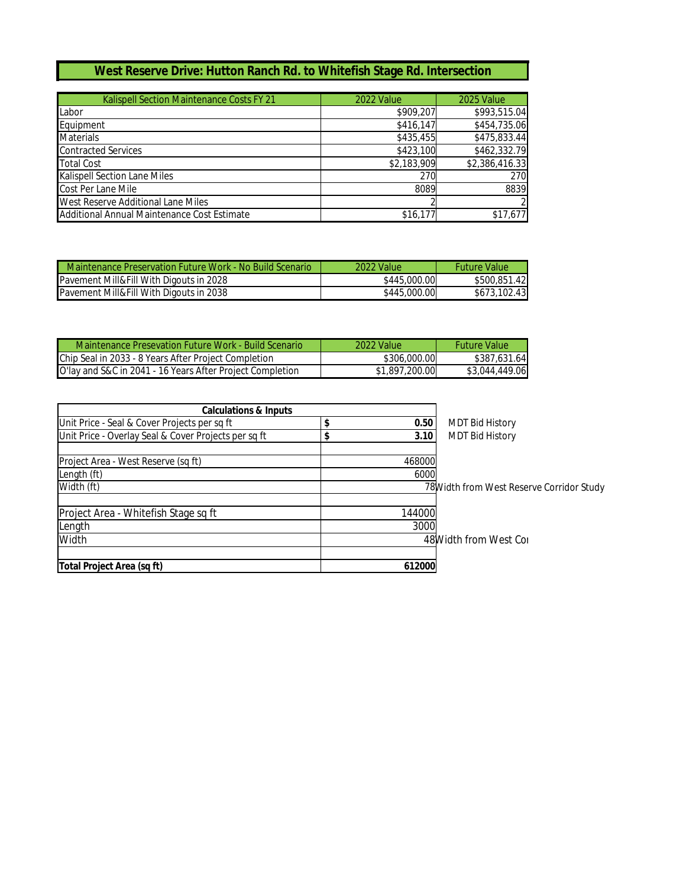| Kalispell Section Maintenance Costs FY 21   | 2022 Value  | 2025 Value     |
|---------------------------------------------|-------------|----------------|
| Labor                                       | \$909,207   | \$993,515.04   |
| Equipment                                   | \$416,147   | \$454,735.06   |
| <b>Materials</b>                            | \$435,455   | \$475,833.44   |
| Contracted Services                         | \$423,100   | \$462,332.79   |
| Total Cost                                  | \$2,183,909 | \$2,386,416.33 |
| Kalispell Section Lane Miles                | 270         | 270            |
| Cost Per Lane Mile                          | 8089        | 8839           |
| <b>I</b> West Reserve Additional Lane Miles |             |                |
| Additional Annual Maintenance Cost Estimate | \$16,177    | \$17,677       |

| Maintenance Preservation Future Work - No Build Scenario | 2022 Value   | <b>Future Value</b> |
|----------------------------------------------------------|--------------|---------------------|
| Pavement Mill&Fill With Digouts in 2028                  | \$445,000,00 | \$500,851.42        |
| Pavement Mill&Fill With Digouts in 2038                  | \$445,000,00 | \$673,102.43        |

| Maintenance Presevation Future Work - Build Scenario      | 2022 Value     | <b>Future Value</b> |
|-----------------------------------------------------------|----------------|---------------------|
| Chip Seal in 2033 - 8 Years After Project Completion      | \$306,000,00   | \$387,631.64        |
| O'lay and S&C in 2041 - 16 Years After Project Completion | \$1,897,200.00 | \$3,044,449.06      |

| <b>Calculations &amp; Inputs</b>                     |        |                                           |
|------------------------------------------------------|--------|-------------------------------------------|
| Unit Price - Seal & Cover Projects per sq ft         | 0.50   | <b>MDT Bid History</b>                    |
| Unit Price - Overlay Seal & Cover Projects per sq ft | 3.10   | <b>MDT Bid History</b>                    |
|                                                      |        |                                           |
| Project Area - West Reserve (sq ft)                  | 468000 |                                           |
| Length (ft)                                          | 6000   |                                           |
| Width (ft)                                           |        | 78 Width from West Reserve Corridor Study |
|                                                      |        |                                           |
| Project Area - Whitefish Stage sq ft                 | 144000 |                                           |
| Length                                               | 3000   |                                           |
| Width                                                |        | 48 Width from West Cor                    |
|                                                      |        |                                           |
| Total Project Area (sq ft)                           | 612000 |                                           |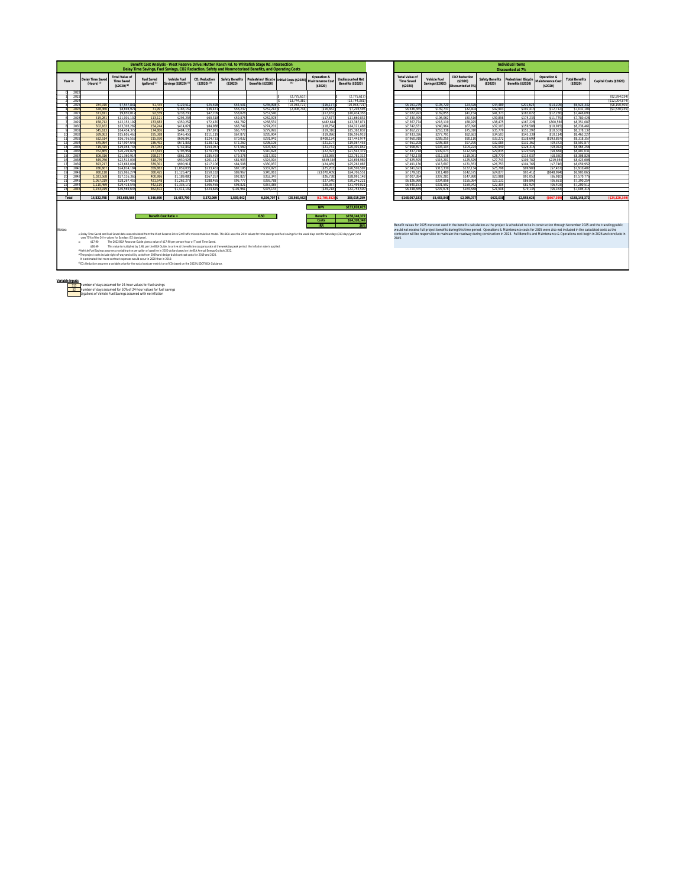| Benefit Cost Analysis - West Reserve Drive: Hutton Ranch Rd, to Whitefish Stage Rd, Intersection<br>Delay Time Savings, Fuel Savings, CO2 Reduction, Safety and Nonmotorized Benefits, and Operating Costs |                                                                                                                                                                                                                                                                                                                                                                                                                                                                                                                                                                                                                                                                                                                                                                                                                                                                                                                                                                                                                                                                                                                                                                                                                                         |                                                                        |                                    |                                      |                                                       |                                   |                        |                                                             |                         | <b>Individual Items</b><br>Discounted at 7%  |                                                       |                                  |                                                       |                                   |                                         |                                            |                                  |                                |
|------------------------------------------------------------------------------------------------------------------------------------------------------------------------------------------------------------|-----------------------------------------------------------------------------------------------------------------------------------------------------------------------------------------------------------------------------------------------------------------------------------------------------------------------------------------------------------------------------------------------------------------------------------------------------------------------------------------------------------------------------------------------------------------------------------------------------------------------------------------------------------------------------------------------------------------------------------------------------------------------------------------------------------------------------------------------------------------------------------------------------------------------------------------------------------------------------------------------------------------------------------------------------------------------------------------------------------------------------------------------------------------------------------------------------------------------------------------|------------------------------------------------------------------------|------------------------------------|--------------------------------------|-------------------------------------------------------|-----------------------------------|------------------------|-------------------------------------------------------------|-------------------------|----------------------------------------------|-------------------------------------------------------|----------------------------------|-------------------------------------------------------|-----------------------------------|-----------------------------------------|--------------------------------------------|----------------------------------|--------------------------------|
| Year <sup>(1)</sup>                                                                                                                                                                                        | <b>Delay Time Saved</b><br>(Hours) (1)                                                                                                                                                                                                                                                                                                                                                                                                                                                                                                                                                                                                                                                                                                                                                                                                                                                                                                                                                                                                                                                                                                                                                                                                  | <b>Total Value of</b><br><b>Time Saved</b><br>$(S2020)$ <sup>(2)</sup> | <b>Fuel Saved</b><br>(gallons) (1) | Vehicle Fuel<br>Savings (\$2020) [7] | CO <sub>2</sub> Reduction<br>$(52020)$ <sup>(3)</sup> | <b>Safety Benefits</b><br>(S2020) | Benefits (\$2020)      | Pedestrian/ Bicycle Initial Costs (\$2020) Maintenance Cost | Operation &<br>(S2020)  | <b>Undiscounted Net</b><br>Benefits (\$2020) | <b>Total Value of</b><br><b>Time Saved</b><br>(S2020) | Vehicle Fuel<br>Savings (\$2020) | <b>CO2 Reduction</b><br>(S2020)<br>(Discounted at 3%) | <b>Safety Benefits</b><br>(S2020) | Pedestrian/Bicycle<br>Benefits (\$2020) | Operation &<br>Maintenance Cost<br>(S2020) | <b>Total Benefits</b><br>(S2020) | Capital Costs (\$2020)         |
| 202                                                                                                                                                                                                        |                                                                                                                                                                                                                                                                                                                                                                                                                                                                                                                                                                                                                                                                                                                                                                                                                                                                                                                                                                                                                                                                                                                                                                                                                                         |                                                                        |                                    |                                      |                                                       |                                   |                        |                                                             |                         |                                              |                                                       |                                  |                                                       |                                   |                                         |                                            |                                  |                                |
| 202                                                                                                                                                                                                        |                                                                                                                                                                                                                                                                                                                                                                                                                                                                                                                                                                                                                                                                                                                                                                                                                                                                                                                                                                                                                                                                                                                                                                                                                                         |                                                                        |                                    |                                      |                                                       |                                   |                        | (2.775.617)                                                 |                         | (2.775.61)                                   |                                                       |                                  |                                                       |                                   |                                         |                                            |                                  | (\$2.594.034)                  |
| 202                                                                                                                                                                                                        |                                                                                                                                                                                                                                                                                                                                                                                                                                                                                                                                                                                                                                                                                                                                                                                                                                                                                                                                                                                                                                                                                                                                                                                                                                         | \$7,547.83                                                             |                                    |                                      |                                                       |                                   |                        | 13 744 381                                                  |                         | (13.744.38)                                  | \$6 161 27                                            |                                  |                                                       |                                   |                                         |                                            | \$6,523,332                      | (\$12,004.874)<br>(\$8.190.505 |
| 2025<br>202t                                                                                                                                                                                               | 284,910<br>328,360                                                                                                                                                                                                                                                                                                                                                                                                                                                                                                                                                                                                                                                                                                                                                                                                                                                                                                                                                                                                                                                                                                                                                                                                                      | \$8,698.92                                                             | 51.435<br>71 997                   | \$129.51<br>\$183.1                  | \$25.59<br>\$36.47                                    | \$54.50<br>\$56.23                | \$246,998<br>\$252.214 | (10.033.721<br>(2.006.744)                                  | (S16.177)<br>(\$16.662) | (10.033.72)<br>\$7,203.59                    | \$6,636.3/                                            | \$105.72<br>\$139.73             | \$23.426<br>\$32.40                                   | \$44,489<br>\$42,903              | \$201.624<br>\$192.413                  | (\$13.205)<br>(S12.712)                    | \$7.031.104                      | (\$1.530.935                   |
| 202                                                                                                                                                                                                        | 371811                                                                                                                                                                                                                                                                                                                                                                                                                                                                                                                                                                                                                                                                                                                                                                                                                                                                                                                                                                                                                                                                                                                                                                                                                                  | \$9,850.01                                                             | 92.559                             | \$238.23                             | \$47.70                                               | \$58.02                           | \$257.540              |                                                             | (S17.162)               | \$10.434.3                                   | \$7,022.92                                            | \$169.85                         | \$41.15                                               | \$41.37                           | \$183.62                                | (S12.236)                                  | \$7,446.690                      |                                |
| 202                                                                                                                                                                                                        | 415.261                                                                                                                                                                                                                                                                                                                                                                                                                                                                                                                                                                                                                                                                                                                                                                                                                                                                                                                                                                                                                                                                                                                                                                                                                                 | \$11,001.10                                                            | 113 121                            | \$294.23                             | \$60.31                                               | \$59.876                          | \$262.97               |                                                             | (\$17.677)              | \$11,660.83                                  | \$7,330.49                                            | \$196.06                         | \$50.51                                               | \$39,898                          | \$175.23                                | (S11.779)                                  | \$7,780.42                       |                                |
| 2029                                                                                                                                                                                                       | 458.712                                                                                                                                                                                                                                                                                                                                                                                                                                                                                                                                                                                                                                                                                                                                                                                                                                                                                                                                                                                                                                                                                                                                                                                                                                 | \$12.152.19                                                            | 133.683                            | \$350.25                             | \$72.47                                               | \$61,782                          | \$268.53               |                                                             | \$482.644               | \$13,387.87                                  | \$7,567.77                                            | \$218.11                         | \$58.925                                              | \$38.475                          | \$167.228                               | \$300,566                                  | \$8,351.08                       |                                |
| 20%                                                                                                                                                                                                        | 502 162                                                                                                                                                                                                                                                                                                                                                                                                                                                                                                                                                                                                                                                                                                                                                                                                                                                                                                                                                                                                                                                                                                                                                                                                                                 | \$13,303.28                                                            | 154 244                            | \$414.02                             | \$84.98                                               | \$63,749                          | \$274.21               |                                                             | (S18.754)               | \$14,121.48                                  | \$7,742.63                                            | \$240.96                         | \$67.090                                              | \$37,103                          | \$159.58                                | (\$10.915)                                 | \$8,236.46                       |                                |
| - 203                                                                                                                                                                                                      | 545.613                                                                                                                                                                                                                                                                                                                                                                                                                                                                                                                                                                                                                                                                                                                                                                                                                                                                                                                                                                                                                                                                                                                                                                                                                                 | \$14,454.3                                                             | 174 80                             | S4R4 11                              | \$97.87                                               | \$65.7                            | \$279.99               |                                                             | (\$19.316)              | \$15,362.83                                  | \$7,862.2                                             | \$263.3                          | \$75.0                                                | \$35.77                           | \$152.29                                | (\$10.507                                  | \$8,378.13                       |                                |
| 2032                                                                                                                                                                                                       | 589.06                                                                                                                                                                                                                                                                                                                                                                                                                                                                                                                                                                                                                                                                                                                                                                                                                                                                                                                                                                                                                                                                                                                                                                                                                                  | \$15,605.46                                                            | 195.368                            | \$546.456                            | \$111.11                                              | \$67.87                           | \$285.904              |                                                             | (S19.896)               | \$16.596.9                                   | \$7,933.02                                            | \$277.79                         | \$82.68                                               | \$34,503                          | \$145.339                               | (\$10.114)                                 | \$8,463.22                       |                                |
| 2033                                                                                                                                                                                                       | 632.514                                                                                                                                                                                                                                                                                                                                                                                                                                                                                                                                                                                                                                                                                                                                                                                                                                                                                                                                                                                                                                                                                                                                                                                                                                 | \$16.756.55                                                            | 215,930                            | \$608,840                            | \$124.73                                              | \$70.032                          | \$291.941              |                                                             | (\$408.124)             | \$17,443.97                                  | \$7,960.91                                            | \$289.25                         | \$90.11                                               | \$33.272                          | \$138,699                               | (\$193.897                                 | \$8,318.35                       |                                |
| 2034                                                                                                                                                                                                       | 675.964                                                                                                                                                                                                                                                                                                                                                                                                                                                                                                                                                                                                                                                                                                                                                                                                                                                                                                                                                                                                                                                                                                                                                                                                                                 | \$17,907.64                                                            | 236.492                            | \$671.83                             | \$138.71                                              | \$72.26                           | \$298.10               |                                                             | (\$21.107)              | \$19.067.45                                  | \$7,951.20                                            | \$298.30                         | \$97,290                                              | \$32.08                           | \$132.362                               | (\$9.372)                                  | \$8,501.87                       |                                |
| 203                                                                                                                                                                                                        | 719.41                                                                                                                                                                                                                                                                                                                                                                                                                                                                                                                                                                                                                                                                                                                                                                                                                                                                                                                                                                                                                                                                                                                                                                                                                                  | \$19,058.7                                                             | 257.054                            | \$732.84                             | \$153.05                                              | \$74.56                           | \$304.40               |                                                             | (S21.741)               | \$20,301.85                                  | \$7,908.69                                            | \$304.10                         | \$104.22                                              | \$30.940                          | \$126.31                                | (S9.022)                                   | \$8,465.25                       |                                |
| 2036                                                                                                                                                                                                       | 762.865                                                                                                                                                                                                                                                                                                                                                                                                                                                                                                                                                                                                                                                                                                                                                                                                                                                                                                                                                                                                                                                                                                                                                                                                                                 | \$20,209.82                                                            | 277.615                            | \$796.95                             | \$170.23                                              | \$76.931                          | \$310.82               |                                                             | (\$22.393)              | \$21.542.37                                  | \$7,837.71                                            | \$309.07                         | \$112.54                                              | \$29.835                          | \$120.545                               | (\$8.684)                                  | \$8,401.03                       |                                |
| 203                                                                                                                                                                                                        | 806.316                                                                                                                                                                                                                                                                                                                                                                                                                                                                                                                                                                                                                                                                                                                                                                                                                                                                                                                                                                                                                                                                                                                                                                                                                                 | \$21,360.91                                                            | 298.177                            | \$861,200                            | \$185.49                                              | \$79.378                          | \$317.39               |                                                             | (\$23.065)              | \$22,781.31                                  | \$7,742.17                                            | \$312.13                         | \$119.06                                              | \$28,770                          | \$115.037                               | (\$8.360)                                  | \$8,308.82                       |                                |
| 203                                                                                                                                                                                                        | 849.766                                                                                                                                                                                                                                                                                                                                                                                                                                                                                                                                                                                                                                                                                                                                                                                                                                                                                                                                                                                                                                                                                                                                                                                                                                 | \$22,512.00                                                            | 318.73                             | \$930.52                             | \$201.11                                              | \$81.90                           | \$324.09               |                                                             | \$649.346               | \$24,698.9                                   | \$7,625.59                                            | \$315.20                         | \$125.32                                              | \$27.743                          | \$109.78                                | \$219.956                                  | \$8,423,606                      |                                |
| 2039                                                                                                                                                                                                       | 893.21                                                                                                                                                                                                                                                                                                                                                                                                                                                                                                                                                                                                                                                                                                                                                                                                                                                                                                                                                                                                                                                                                                                                                                                                                                  | \$23,663.09                                                            | 339.30                             | \$990.91                             | \$217.106                                             | \$84,50                           | \$330.9                |                                                             | (\$24.469)              | \$25,262.08                                  | \$7,491.13                                            | \$313.69                         | \$131.35                                              | \$26.75                           | \$104.766                               | (\$7.746)                                  | \$8,059.95                       |                                |
| 2040                                                                                                                                                                                                       | 936.66                                                                                                                                                                                                                                                                                                                                                                                                                                                                                                                                                                                                                                                                                                                                                                                                                                                                                                                                                                                                                                                                                                                                                                                                                                  | \$24,814.18                                                            | 359.863                            | \$1,059.03                           | \$233.46                                              | \$87.195                          | \$337.92               |                                                             | (\$25.203)              | \$26,506.59                                  | \$7,341.62                                            | \$313.33                         | \$137.13                                              | \$25.798                          | \$99,980                                | (\$7.457)                                  | \$7,910.40                       |                                |
| 2041                                                                                                                                                                                                       | 980.11                                                                                                                                                                                                                                                                                                                                                                                                                                                                                                                                                                                                                                                                                                                                                                                                                                                                                                                                                                                                                                                                                                                                                                                                                                  | \$25,965.27                                                            | 380.425                            | \$1,126.47                           | \$250.18                                              | \$89.96                           | \$345.06               |                                                             | (\$3.070.409)           | \$24,706.55                                  | \$7,179.61                                            | \$311.48                         | \$142.67                                              | \$24.87                           | \$95.412                                | (\$848.994)                                | \$6,905.065                      |                                |
| 2042                                                                                                                                                                                                       | 1.023.568                                                                                                                                                                                                                                                                                                                                                                                                                                                                                                                                                                                                                                                                                                                                                                                                                                                                                                                                                                                                                                                                                                                                                                                                                               | \$27.116.36                                                            | 400.98                             | \$1,189.08                           | \$267.26                                              | \$92.82                           | \$352.34               |                                                             | (S26.73)                | \$28,991.14                                  | \$7,007.3                                             | \$307.28                         | \$147.9                                               | \$23.98                           | \$91.053                                | (\$6.910                                   | \$7,570.77                       |                                |
| 204                                                                                                                                                                                                        | 1.067.01                                                                                                                                                                                                                                                                                                                                                                                                                                                                                                                                                                                                                                                                                                                                                                                                                                                                                                                                                                                                                                                                                                                                                                                                                                | \$28,267.45                                                            | 421.548                            | \$1,262.27                           | \$288.46                                              | \$95.77                           | \$359.7                |                                                             | (\$27.540               | \$30,246.22                                  | \$6,826.96                                            | \$304.85                         | \$155.06                                              | \$23.13                           | \$86.893                                | (\$6.651                                   | \$7,390.25                       |                                |
| 204                                                                                                                                                                                                        | 1.110.469                                                                                                                                                                                                                                                                                                                                                                                                                                                                                                                                                                                                                                                                                                                                                                                                                                                                                                                                                                                                                                                                                                                                                                                                                               | \$29,418.54                                                            | 442.11                             | \$1,336.1                            | \$306.46                                              | \$98.82                           | \$367.3                |                                                             | (\$28.36)               | \$31,499.0                                   | \$6,640.1                                             | \$301.59                         | \$159.94                                              | \$22,305                          | \$82.924                                | (\$6.403)                                  | \$7,200.5                        |                                |
| 2045                                                                                                                                                                                                       | 1.153.91                                                                                                                                                                                                                                                                                                                                                                                                                                                                                                                                                                                                                                                                                                                                                                                                                                                                                                                                                                                                                                                                                                                                                                                                                                | \$30,569.63                                                            | 462.67                             | \$1,411.14                           | \$324.82                                              | \$101.96                          | \$375.14               |                                                             | (\$29.218               | \$32,753.50                                  | \$6,448.56                                            | \$297.67                         | \$164.58                                              | \$21.50                           | \$79.135                                | (\$6.163)                                  | \$7,005.31                       |                                |
| Total                                                                                                                                                                                                      | 14.822.798                                                                                                                                                                                                                                                                                                                                                                                                                                                                                                                                                                                                                                                                                                                                                                                                                                                                                                                                                                                                                                                                                                                                                                                                                              | 392.685.565                                                            | 5.346.690                          | 15.487.790                           | 3.372.069                                             | 1.539.442                         | 6.196.707              | (28.560.462)                                                | (\$2,705)               | 388.015.259                                  | \$148,057.18                                          | \$5,483.84                       | \$2.095.07                                            | \$621.03                          | \$2,558.625                             | (\$667.3                                   | \$158,148,372                    | (\$24.320.34)                  |
| Notes:                                                                                                                                                                                                     | \$133,828.02<br><b>NPV</b><br>6.50<br><b>Benefit-Cost Ratio:</b><br><b>Benefits</b><br>\$158.148.37<br>Costs<br>SZERROKO<br>Benefit values for 2025 were not used in the benefits calculation as the project is scheduled to be in construction through November 2025 and the traveling public<br><b>IRR</b><br>would not receive full project benefits during this time period. Operations & Maintenance costs for 2025 were also not included in the calculated costs as the<br>contractor will be responsible to maintain the roadway during construction in 2025. Full Benefits and Maintenance & Operations cost begin in 2026 and conclude in<br>(1Delay Time Saved and Fuel Saved data was calculated from the West Reserve Drive SimTraffic microsimulation model. This BCA uses the 24 hr values for time savings and fuel savings and fuel savings for the week days and fo<br>uses 75% of the 24 hr values for Sundays (52 days/year)<br>2045.<br>\$17.90<br>The 2022 BCA Resource Guide gives a value of \$17.90 per person-hour of Travel Time Saved.<br>\$26.49<br>This value is multiplied by 1.48, per the BCA Guide, to arrive at the vehicle occupancy rate at the weekday peak period. No inflation rate is applied. |                                                                        |                                    |                                      |                                                       |                                   |                        |                                                             |                         |                                              |                                                       |                                  |                                                       |                                   |                                         |                                            |                                  |                                |

|                                              | Individual Items<br>Discounted at 7%           |                                  |                                                        |                                    |                                         |                                              |                                   |                        |  |
|----------------------------------------------|------------------------------------------------|----------------------------------|--------------------------------------------------------|------------------------------------|-----------------------------------------|----------------------------------------------|-----------------------------------|------------------------|--|
| <b>Undiscounted Net</b><br>Benefits (\$2020) | Total Value of<br><b>Time Saved</b><br>(S2020) | Vehicle Fuel<br>Savings (\$2020) | <b>CO2 Reduction</b><br>(\$2020)<br>(Discounted at 3%) | <b>Safety Benefits</b><br>(\$2020) | Pedestrian/Bicycle<br>Benefits (\$2020) | Operation &<br>Maintenance Cost<br>( \$2020) | <b>Total Benefits</b><br>(\$2020) | Capital Costs (\$2020) |  |
|                                              |                                                |                                  |                                                        |                                    |                                         |                                              |                                   |                        |  |
| (2.775.617)                                  |                                                |                                  |                                                        |                                    |                                         |                                              |                                   | (\$2.594.034)          |  |
| (13.744.381)                                 |                                                |                                  |                                                        |                                    |                                         |                                              |                                   | (\$12.004.874)         |  |
| (10.033.721                                  | \$6,161,279                                    | \$105.720                        | \$23.426                                               | \$44,489                           | \$201,624                               | (S13, 205)                                   | \$6,523,332                       | ( \$8,190,505)         |  |
| \$7.203.595                                  | \$6,636,365                                    | \$139.73                         | \$32.40                                                | \$42,903                           | \$192.413                               | (S12.712)                                    | \$7.031.104                       | (\$1.530.935)          |  |
| \$10.434.356                                 | \$7,022.92                                     | \$169.85                         | \$41.15                                                | \$41,373                           | \$183.622                               | (\$12.236)                                   | \$7,446.690                       |                        |  |
| \$11,660,832                                 | \$7,330,499                                    | \$196.062                        | \$50.516                                               | \$39.898                           | \$175,233                               | (\$11.779)                                   | \$7,780.428                       |                        |  |
| \$13,387.87                                  | \$7,567,774                                    | \$218,119                        | \$58.925                                               | \$38.475                           | \$167.228                               | \$300.566                                    | \$8,351.087                       |                        |  |
| \$14,121,488                                 | \$7,742.63                                     | \$240.964                        | \$67.090                                               | \$37,103                           | \$159,588                               | (\$10.915)                                   | \$8,236.46                        |                        |  |
| \$15.362.832                                 | \$7,862.22                                     | \$263.338                        | \$75.010                                               | \$35.779                           | \$152.297                               | (\$10.507                                    | \$8,378,137                       |                        |  |
| \$16,596.918                                 | \$7,933.026                                    | \$277.791                        | \$82.68                                                | \$34,503                           | \$145.339                               | (\$10.114)                                   | \$8,463,227                       |                        |  |
| \$17,443.974                                 | \$7,960.918                                    | \$289.25                         | \$90.110                                               | \$33,272                           | \$138,699                               | (\$193.897                                   | \$8,318,357                       |                        |  |
| \$19.067.453                                 | \$7,951,208                                    | \$298.305                        | \$97.290                                               | \$32.085                           | \$132,362                               | (\$9.372)                                    | \$8,501.877                       |                        |  |
| \$20.301.852                                 | \$7,908.69                                     | \$304.104                        | \$104.224                                              | \$30.940                           | \$126,315                               | (\$9.022                                     | \$8,465,258                       |                        |  |
| \$21.542.379                                 | \$7,837,718                                    | \$309.07                         | \$112.545                                              | \$29.835                           | \$120.545                               | (\$8.684                                     | \$8,401.031                       |                        |  |
| \$22.781.312                                 | \$7,742,178                                    | \$312,138                        | \$119.06                                               | \$28.770                           | \$115.037                               | (\$8.360                                     | \$8,308,826                       |                        |  |
| \$24.698.989                                 | \$7,625.595                                    | \$315.20                         | \$125.329                                              | \$27.743                           | \$109.782                               | \$219.956                                    | \$8,423,606                       |                        |  |
| \$25,262.08                                  | \$7,491.130                                    | \$313.69                         | \$131.353                                              | \$26.753                           | \$104.766                               | (S7.746)                                     | \$8.059.952                       |                        |  |
| \$26,506.597                                 | \$7,341.62                                     | \$313.33                         | \$137.13                                               | \$25.798                           | \$99.980                                | (\$7.457                                     | \$7,910.407                       |                        |  |
| \$24.706.55                                  | \$7.179.615                                    | \$311,480                        | \$142.67                                               | \$24.877                           | \$95.412                                | (\$848.994                                   | \$6,905.065                       |                        |  |
| \$28.991.148                                 | \$7,007.384                                    | \$307.28                         | \$147.980                                              | \$23.988                           | \$91,053                                | (\$6.910                                     | \$7,570.776                       |                        |  |
| \$30.246.221                                 | \$6,826,960                                    | \$304.856                        | \$155.06                                               | \$23.131                           | \$86.893                                | (\$6.651                                     | \$7.390.254                       |                        |  |
| \$31.499.021                                 | \$6,640.15                                     | \$301.592                        | \$159.942                                              | \$22,305                           | \$82.924                                | (\$6.403                                     | \$7,200.512                       |                        |  |
| \$32,753,500                                 | \$6,448.569                                    | \$297.67                         | \$164,588                                              | \$21,508                           | \$79.135                                | (\$6.163                                     | \$7,005.315                       |                        |  |
| s<br>388.015.259                             | \$148,057,183                                  | \$5.483.848                      | \$2,095.077                                            | \$621,038                          | \$2,558.625                             | (\$667,399                                   | \$158,148,372                     | (S24, 320, 349)        |  |

<sup>23</sup>ke <sup>o</sup> This will miss us in milliplied by 1 48, per the RK duals, to arrive at the vehick exceptor you that the mediator and is applied.<br><sup>20</sup>NHCM had Safety assumes a winkle price per gallen of pastes in 200 datas base

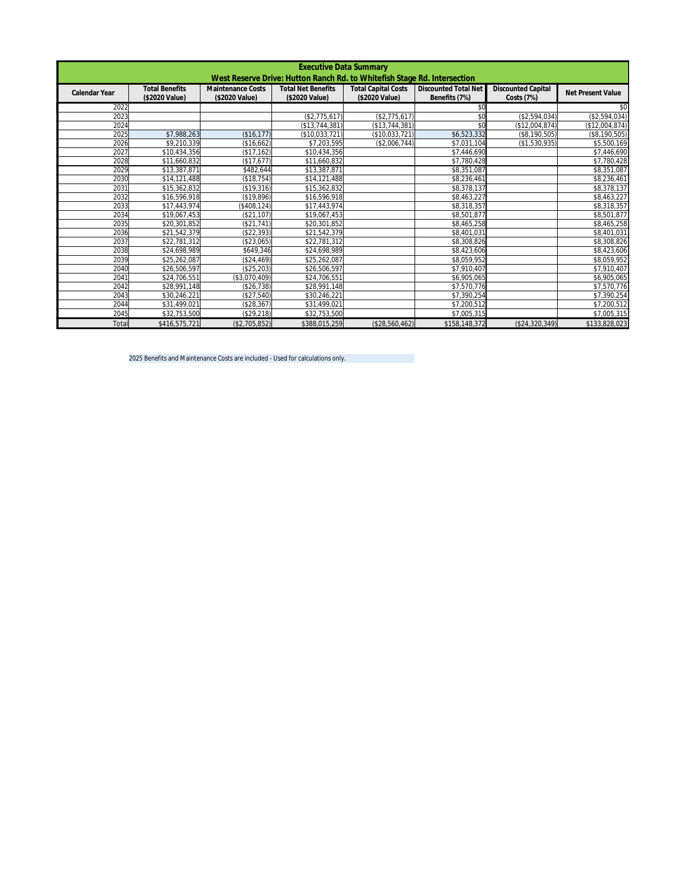| <b>Executive Data Summary</b><br>West Reserve Drive: Hutton Ranch Rd. to Whitefish Stage Rd. Intersection |                                         |                                            |                                             |                                              |                                              |                                         |                          |  |
|-----------------------------------------------------------------------------------------------------------|-----------------------------------------|--------------------------------------------|---------------------------------------------|----------------------------------------------|----------------------------------------------|-----------------------------------------|--------------------------|--|
| <b>Calendar Year</b>                                                                                      | <b>Total Benefits</b><br>(\$2020 Value) | <b>Maintenance Costs</b><br>(\$2020 Value) | <b>Total Net Benefits</b><br>(\$2020 Value) | <b>Total Capital Costs</b><br>(\$2020 Value) | <b>Discounted Total Net</b><br>Benefits (7%) | <b>Discounted Capital</b><br>Costs (7%) | <b>Net Present Value</b> |  |
| 2022                                                                                                      |                                         |                                            |                                             |                                              | \$0                                          |                                         | \$0                      |  |
| 2023                                                                                                      |                                         |                                            | (\$2,775,617)                               | (\$2,775,617)                                | \$0                                          | (\$2,594,034)                           | (\$2,594,034)            |  |
| 2024                                                                                                      |                                         |                                            | (\$13.744.381                               | (\$13.744.381                                | \$0                                          | (\$12.004.874)                          | (\$12,004,874)           |  |
| 2025                                                                                                      | \$7,988,263                             | (\$16, 177)                                | (\$10,033,721                               | (\$10,033,721                                | \$6,523,332                                  | (\$8,190,505)                           | (\$8,190,505)            |  |
| 2026                                                                                                      | \$9,210,339                             | (\$16,662)                                 | \$7.203.595                                 | (\$2,006,744)                                | \$7,031,104                                  | (\$1,530,935)                           | \$5,500,169              |  |
| 2027                                                                                                      | \$10,434,356                            | (\$17.162)                                 | \$10,434,356                                |                                              | \$7,446,690                                  |                                         | \$7,446,690              |  |
| 2028                                                                                                      | \$11.660.832                            | (\$17.677)                                 | \$11,660,832                                |                                              | \$7,780,428                                  |                                         | \$7,780,428              |  |
| 2029                                                                                                      | \$13,387,871                            | \$482,644                                  | \$13,387,871                                |                                              | \$8,351,087                                  |                                         | \$8,351,087              |  |
| 2030                                                                                                      | \$14.121.488                            | (\$18,754)                                 | \$14.121.488                                |                                              | \$8,236,461                                  |                                         | \$8,236,461              |  |
| 2031                                                                                                      | \$15,362,832                            | (\$19,316)                                 | \$15,362,832                                |                                              | \$8,378,137                                  |                                         | \$8,378,137              |  |
| 2032                                                                                                      | \$16,596,918                            | (\$19.896)                                 | \$16,596,918                                |                                              | \$8.463.227                                  |                                         | \$8,463,227              |  |
| 2033                                                                                                      | \$17,443,974                            | (\$408.124)                                | \$17,443.974                                |                                              | \$8.318.357                                  |                                         | \$8,318,357              |  |
| 2034                                                                                                      | \$19,067,453                            | (\$21.107)                                 | \$19,067,453                                |                                              | \$8,501,877                                  |                                         | \$8,501,877              |  |
| 2035                                                                                                      | \$20,301,852                            | (\$21,741)                                 | \$20,301,852                                |                                              | \$8,465,258                                  |                                         | \$8,465,258              |  |
| 2036                                                                                                      | \$21.542.379                            | (S22.393)                                  | \$21,542,379                                |                                              | \$8,401,031                                  |                                         | \$8,401,031              |  |
| 2037                                                                                                      | \$22.781.312                            | (\$23,065)                                 | \$22,781,312                                |                                              | \$8,308,826                                  |                                         | \$8,308,826              |  |
| 2038                                                                                                      | \$24.698.989                            | \$649,346                                  | \$24,698,989                                |                                              | \$8,423,606                                  |                                         | \$8,423,606              |  |
| 2039                                                                                                      | \$25,262,087                            | (\$24,469)                                 | \$25,262,087                                |                                              | \$8,059,952                                  |                                         | \$8,059,952              |  |
| 2040                                                                                                      | \$26,506,597                            | (\$25,203)                                 | \$26,506,597                                |                                              | \$7,910,407                                  |                                         | \$7,910,407              |  |
| 2041                                                                                                      | \$24.706.551                            | (\$3,070,409)                              | \$24.706.551                                |                                              | \$6,905,065                                  |                                         | \$6,905,065              |  |
| 2042                                                                                                      | \$28.991.148                            | (\$26.738)                                 | \$28,991.148                                |                                              | \$7.570.776                                  |                                         | \$7,570,776              |  |
| 2043                                                                                                      | \$30,246,221                            | (\$27,540)                                 | \$30,246,221                                |                                              | \$7,390,254                                  |                                         | \$7,390,254              |  |
| 2044                                                                                                      | \$31,499,021                            | (\$28,367)                                 | \$31,499,021                                |                                              | \$7,200,512                                  |                                         | \$7,200,512              |  |
| 2045                                                                                                      | \$32,753,500                            | (\$29.218)                                 | \$32,753,500                                |                                              | \$7,005,315                                  |                                         | \$7,005,315              |  |
| Total                                                                                                     | \$416,575,721                           | (\$2,705,852)                              | \$388,015,259                               | (\$28,560,462)                               | \$158,148,372                                | (\$24,320,349)                          | \$133,828,023            |  |

2025 Benefits and Maintenance Costs are included - Used for calculations only.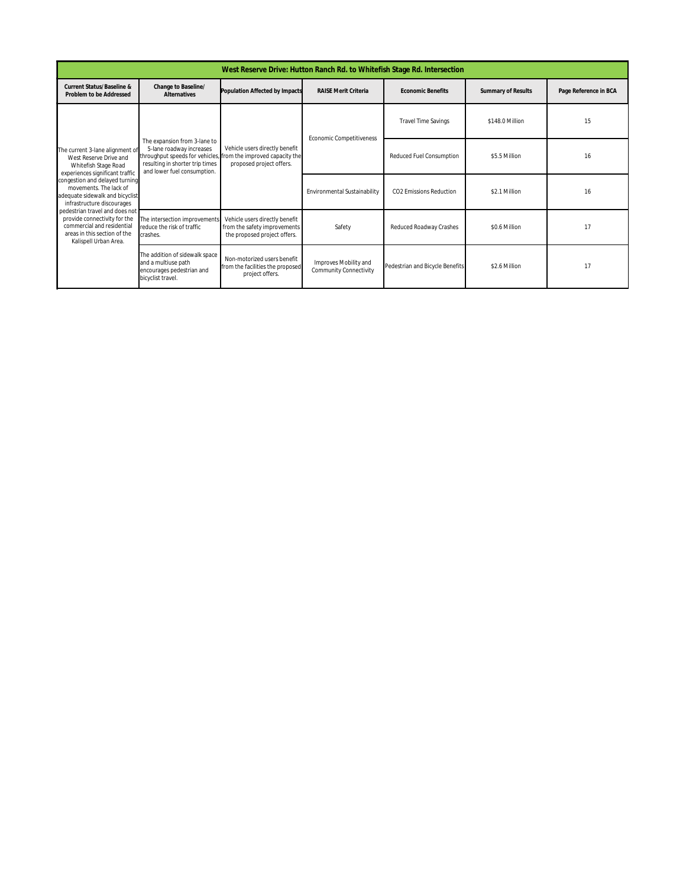|                                                                                                                                                                                                                                                                                    | West Reserve Drive: Hutton Ranch Rd. to Whitefish Stage Rd. Intersection                                                   |                                                                                                                              |                                                                      |                                 |                           |                       |  |  |  |
|------------------------------------------------------------------------------------------------------------------------------------------------------------------------------------------------------------------------------------------------------------------------------------|----------------------------------------------------------------------------------------------------------------------------|------------------------------------------------------------------------------------------------------------------------------|----------------------------------------------------------------------|---------------------------------|---------------------------|-----------------------|--|--|--|
| <b>Current Status/Baseline &amp;</b><br><b>Problem to be Addressed</b>                                                                                                                                                                                                             | Change to Baseline/<br><b>Alternatives</b>                                                                                 |                                                                                                                              | <b>Population Affected by Impacts</b><br><b>RAISE Merit Criteria</b> | <b>Economic Benefits</b>        | <b>Summary of Results</b> | Page Reference in BCA |  |  |  |
|                                                                                                                                                                                                                                                                                    |                                                                                                                            | Vehicle users directly benefit<br>throughput speeds for vehicles, from the improved capacity the<br>proposed project offers. | <b>Economic Competitiveness</b>                                      | <b>Travel Time Savings</b>      | \$148.0 Million           | 15                    |  |  |  |
| The current 3-lane alignment of<br>West Reserve Drive and<br>Whitefish Stage Road<br>experiences significant traffic                                                                                                                                                               | The expansion from 3-lane to<br>5-lane roadway increases<br>resulting in shorter trip times<br>and lower fuel consumption. |                                                                                                                              |                                                                      | Reduced Fuel Consumption        | \$5.5 Million             | 16                    |  |  |  |
| congestion and delayed turning<br>movements. The lack of<br>adequate sidewalk and bicyclist<br>infrastructure discourages<br>pedestrian travel and does not<br>provide connectivity for the<br>commercial and residential<br>areas in this section of the<br>Kalispell Urban Area. |                                                                                                                            |                                                                                                                              | <b>Environmental Sustainability</b>                                  | CO2 Emissions Reduction         | \$2.1 Million             | 16                    |  |  |  |
|                                                                                                                                                                                                                                                                                    | The intersection improvements<br>reduce the risk of traffic<br>crashes.                                                    | Vehicle users directly benefit<br>from the safety improvements<br>the proposed project offers.                               | Safety                                                               | Reduced Roadway Crashes         | \$0.6 Million             | 17                    |  |  |  |
|                                                                                                                                                                                                                                                                                    | The addition of sidewalk space<br>and a multiuse path<br>encourages pedestrian and<br>bicyclist travel.                    | Non-motorized users benefit<br>from the facilities the proposed<br>project offers.                                           | Improves Mobility and<br>Community Connectivity                      | Pedestrian and Bicycle Benefits | \$2.6 Million             | 17                    |  |  |  |